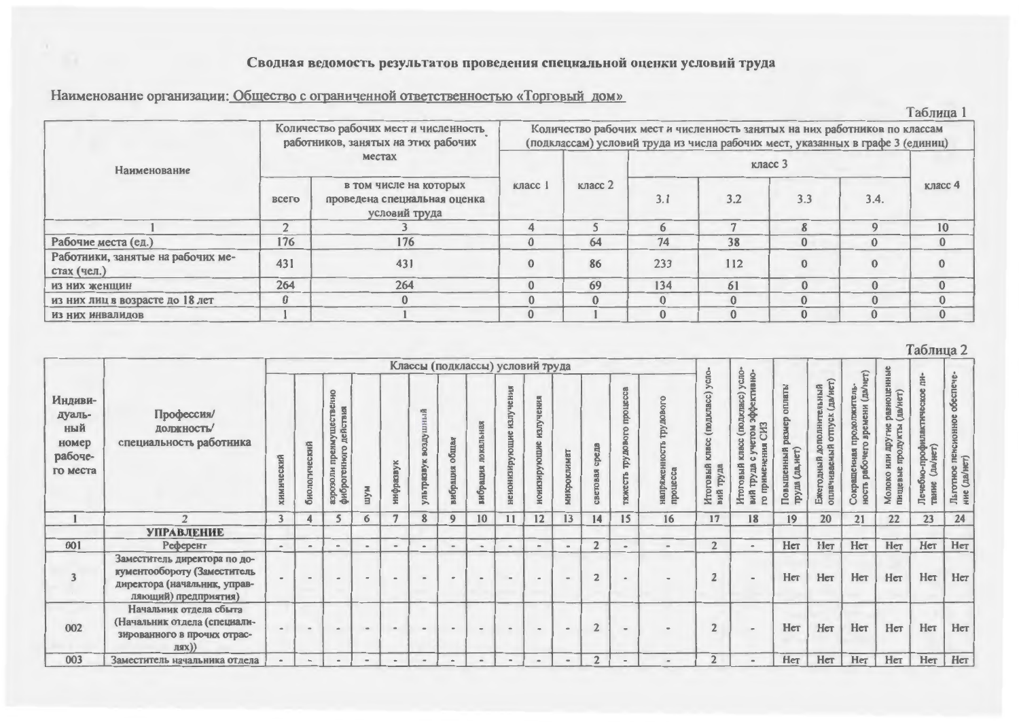## Сводная ведомость результатов проведения специальной оценки условий труда

| Наименование организации: Общество с ограниченной ответственностью «Торговый дом» |  |  |
|-----------------------------------------------------------------------------------|--|--|
|                                                                                   |  |  |

|                                                  |               |                                                                              |         |                                                                                                                                                              |          |          |                    |          | Таблица      |
|--------------------------------------------------|---------------|------------------------------------------------------------------------------|---------|--------------------------------------------------------------------------------------------------------------------------------------------------------------|----------|----------|--------------------|----------|--------------|
|                                                  |               | Количество рабочих мест и численность<br>работников, занятых на этих рабочих |         | Количество рабочих мест и численность занятых на них работников по классам<br>(подклассам) условий труда из числа рабочих мест, указанных в графе 3 (единиц) |          |          |                    |          |              |
| Наименование                                     |               | местах                                                                       |         |                                                                                                                                                              |          |          | класс <sub>3</sub> |          |              |
|                                                  | всего         | в том числе на которых<br>проведена специальная оценка<br>условий труда      | класс 1 | класс 2                                                                                                                                                      | 3.1      | 3.2      | 3.3                | 3.4.     | класс 4      |
|                                                  | $\rightarrow$ |                                                                              |         |                                                                                                                                                              | 6        |          | $\mathbf{R}$       |          | 10           |
| Рабочие места (ед.)                              | 176           | 176                                                                          |         | 64                                                                                                                                                           | 74       | 38       | $\mathbf{0}$       | $\Omega$ | $\mathbf{0}$ |
| Работники, занятые на рабочих ме-<br>стах (чел.) | 431           | 431                                                                          |         | 86                                                                                                                                                           | 233      | 112      |                    |          |              |
| из них женщин                                    | 264           | 264                                                                          |         | 69                                                                                                                                                           | 134      | 61       | $\Omega$           |          | $\mathbf{0}$ |
| из них лиц в возрасте до 18 лет                  | $\bf{0}$      |                                                                              |         | $\mathbf{0}$                                                                                                                                                 |          | $\Omega$ |                    | $\Omega$ | $\mathbf{0}$ |
| ИЗ НИХ ИНВАЛИДОВ                                 |               |                                                                              |         |                                                                                                                                                              | $\Omega$ |          |                    |          | $\mathbf{0}$ |

|                                                          |                                                                                                                     |                |                              |                                                               |                                                                     |                              |                                  |                              |                              |                                |                            |                              |                         |                                                       |                                                                                                |                                                                    |                                                                                                                                          |                                           |                                                                                      |                                                               |                                                                        | $1$ aultrua $\mathcal{L}$                       |                                                                |
|----------------------------------------------------------|---------------------------------------------------------------------------------------------------------------------|----------------|------------------------------|---------------------------------------------------------------|---------------------------------------------------------------------|------------------------------|----------------------------------|------------------------------|------------------------------|--------------------------------|----------------------------|------------------------------|-------------------------|-------------------------------------------------------|------------------------------------------------------------------------------------------------|--------------------------------------------------------------------|------------------------------------------------------------------------------------------------------------------------------------------|-------------------------------------------|--------------------------------------------------------------------------------------|---------------------------------------------------------------|------------------------------------------------------------------------|-------------------------------------------------|----------------------------------------------------------------|
|                                                          |                                                                                                                     |                |                              |                                                               |                                                                     |                              | Классы (подклассы) условий труда |                              |                              |                                |                            |                              |                         |                                                       |                                                                                                |                                                                    |                                                                                                                                          |                                           |                                                                                      | E                                                             |                                                                        |                                                 |                                                                |
| Индиви-<br>дуаль-<br>ный<br>номер<br>рабоче-<br>го места | Профессия/<br><b>ДОЛОКНОСТЬ/</b><br>специальность работника                                                         | КНЙ            | ический<br>биолог            | пвенно<br>действия<br>rymec<br>аэрозоли преим<br>фиброгенного | м/ш                                                                 | нифразвук                    | ичниуде<br>ខ្ល<br>合<br>ультраз   | общая<br>вибрация            | покальная<br>вибрация        | сния<br>нзлу<br>ненонизирующие | тения<br>тошие<br>нонизиру | мнюроклимат                  | среда<br>световая       | процесса<br>oro<br><b>DDA XdL</b><br><b>TRINCETTS</b> | напряженнос<br>процесса                                                                        | усло-<br>cc)<br>(подкла<br>S<br>Итоговый<br><b>ZIB</b><br>À<br>вий | с) усло-<br>тивно-<br>cnacc)<br>ă<br>Ð<br>e.<br>(100)<br>CH <sub>3</sub><br>MQU<br>Chacc<br><b>ALL</b><br>MTOTOBI<br>вий<br><sub>2</sub> | оплаты<br>снимй<br>HET)<br>Повыш<br>пруда | (да/нет)<br>ДОПОЛНИТЕЛЬНЫЙ<br><b>OTTIVCK</b><br><b>AIN</b><br>Ежегодный<br>оплачивае | $\frac{1}{2}$<br>eль<br>읆<br>npo,<br>$\circ$<br>HOCTB<br>Corp | равноценн<br>(да/нет)<br>другие<br>продукты<br>ИЛИ<br>Молоко<br>пищевы | Ė.<br><b>ECKOC</b><br>нфофт<br>F<br>Tairik<br>Ĕ | обеспече<br>пенсионное<br>(да/нет)<br>Льготное 1<br>ние (да/не |
|                                                          | $\rightarrow$                                                                                                       | $\overline{3}$ | $\overline{4}$               | 5                                                             | 6                                                                   | $\tau$                       | $8\phantom{1}$                   | 9                            | 10                           | 11                             | 12                         | 13                           | 14                      | 15                                                    | 16                                                                                             | 17                                                                 | 18                                                                                                                                       | 19 <sup>°</sup>                           | 20                                                                                   | 21                                                            | 22                                                                     | 23                                              | 24                                                             |
|                                                          | <b>УПРАВЛЕНИЕ</b>                                                                                                   |                |                              |                                                               |                                                                     |                              |                                  |                              |                              |                                |                            |                              |                         |                                                       |                                                                                                |                                                                    |                                                                                                                                          |                                           |                                                                                      |                                                               |                                                                        |                                                 |                                                                |
| 001                                                      | Референт                                                                                                            | $\frac{1}{2}$  | $\equiv$                     | $\qquad \qquad \blacksquare$                                  | $\frac{1}{2} \left( \frac{1}{2} \right) \left( \frac{1}{2} \right)$ | $\qquad \qquad \bullet$      | $\,$                             | $\qquad \qquad$              | $\bullet$                    | $\mathbf{q}_0$                 | $\equiv$                   | $\qquad \qquad \blacksquare$ | $\overline{2}$          | $\blacksquare$                                        | $\frac{1}{2} \left( \frac{1}{2} \right) \left( \frac{1}{2} \right) \left( \frac{1}{2} \right)$ | $\overline{2}$                                                     | $\bullet$                                                                                                                                | Her                                       | Her                                                                                  | Her                                                           | Нет                                                                    | Her                                             | Her                                                            |
|                                                          | Заместитель директора по до-<br>кументообороту (Заместитель<br>директора (начальник, управ-<br>ляющий) предприятия) |                | $\rightarrow$                | $\bullet$                                                     | $\sim$                                                              |                              | $\blacksquare$                   | $\qquad \qquad \blacksquare$ | $\qquad \qquad \blacksquare$ | $\blacksquare$                 | $\rightarrow$              | $\rightarrow$                | $\overline{\mathbf{c}}$ | $\qquad \qquad \blacksquare$                          |                                                                                                | $\overline{2}$                                                     |                                                                                                                                          | Her                                       | Нет                                                                                  | Нет                                                           | Her                                                                    | Нет                                             | Her                                                            |
| 002                                                      | Начальник отдела сбыта<br>(Начальник отдела (специали-<br>зированного в прочих отрас-<br>J(X(X))                    | $\,$           | $\bullet$                    | $\blacksquare$                                                | $\rightarrow$                                                       | $\qquad \qquad \blacksquare$ | $\alpha$                         | $\qquad \qquad =$            | $\qquad \qquad \blacksquare$ | $\qquad \qquad \blacksquare$   | $\blacksquare$             | ۰                            | $\overline{2}$          | $\;$                                                  | $\blacksquare$                                                                                 | $\overline{2}$                                                     |                                                                                                                                          | Her                                       | Нет                                                                                  | Нет                                                           | Нет                                                                    | Нет                                             | Нет                                                            |
| 003                                                      | Заместитель начальника отдела                                                                                       |                | $\qquad \qquad \blacksquare$ | $\blacksquare$                                                | $\qquad \qquad \blacksquare$                                        | $\,$                         | $\sim$                           | $\sim$                       | $\overline{\phantom{a}}$     | $\sim$                         | $\overline{a}$             | $\blacksquare$               | $\overline{2}$          | $\,$ $\,$                                             |                                                                                                | $\overline{2}$                                                     |                                                                                                                                          | Нет                                       | Нет                                                                                  | Her                                                           | Нет                                                                    | Нет                                             | Нет                                                            |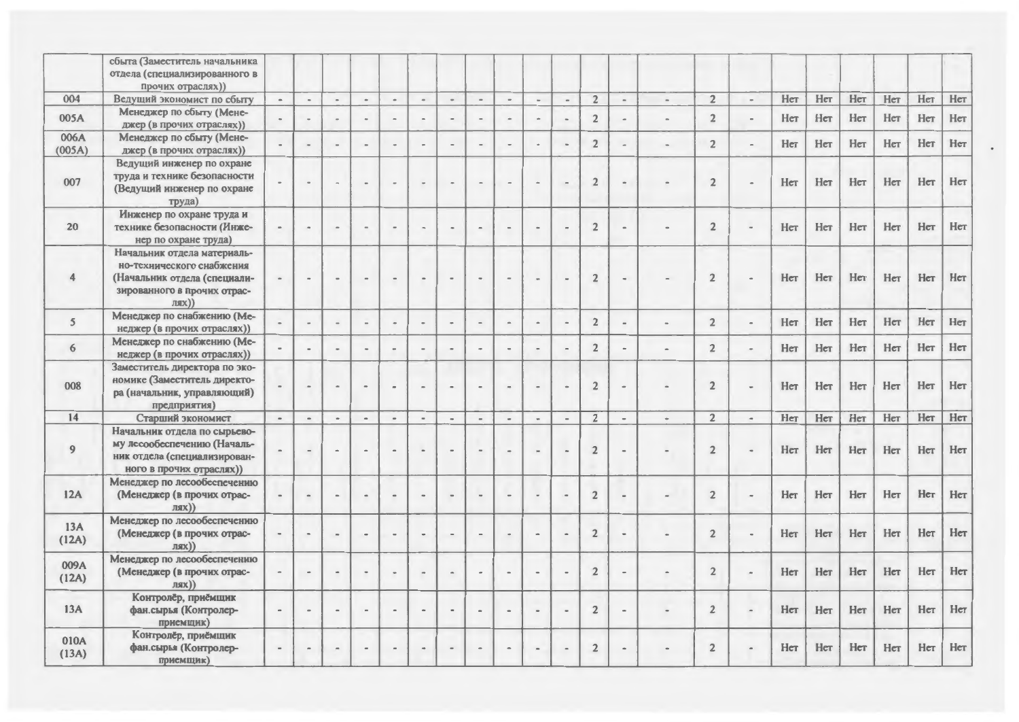|                         | сбыта (Заместитель начальника<br>отдела (специализированного в<br>прочих отраслях))                                                 |                          |                |                |                          |                              |                |                          |                          |                          |                |                          |                |                          |                    |                |                |     |     |     |     |     |     |
|-------------------------|-------------------------------------------------------------------------------------------------------------------------------------|--------------------------|----------------|----------------|--------------------------|------------------------------|----------------|--------------------------|--------------------------|--------------------------|----------------|--------------------------|----------------|--------------------------|--------------------|----------------|----------------|-----|-----|-----|-----|-----|-----|
| 004                     | Ведущий экономист по сбыту                                                                                                          | $\overline{\phantom{a}}$ | $\sim$         | $\overline{a}$ | $\tilde{\phantom{a}}$    | $\overline{a}$               | $\sim$         | $\overline{\phantom{a}}$ | $\overline{\phantom{a}}$ | $\overline{\phantom{a}}$ | $\blacksquare$ | $\blacksquare$           | $\overline{2}$ | $\overline{\phantom{a}}$ | $\frac{1}{2}$      | $\overline{2}$ | $\sim$         | Her | Нет | Her | Нет | Her | Her |
| 005A                    | Менеджер по сбыту (Мене-<br>джер (в прочих отраслях))                                                                               |                          |                |                |                          | $\rightarrow$                | $\blacksquare$ |                          |                          | $\sim$                   |                |                          | $\overline{2}$ |                          |                    | $\overline{2}$ | $\blacksquare$ | Her | Нет | Her | Her | Нет | Нет |
| 006A<br>(005A)          | Менеджер по сбыту (Мене-<br>джер (в прочих отраслях))                                                                               |                          |                |                |                          |                              |                |                          |                          |                          |                |                          | $\overline{2}$ |                          |                    | $\overline{2}$ |                | Her | Нет | Her | Her | Нет | Her |
| 007                     | Ведущий инженер по охране<br>труда и технике безопасности<br>(Ведущий инженер по охране<br>труда)                                   |                          |                |                |                          |                              | $\blacksquare$ |                          |                          | $\blacksquare$           |                | $\overline{\phantom{a}}$ | $\overline{2}$ |                          |                    | $\overline{2}$ |                | Her | Her | Нет | Her | Нет | Her |
| 20                      | Инженер по охране труда и<br>технике безопасности (Инже-<br>нер по охране труда)                                                    |                          | $\alpha$       |                |                          | $\blacksquare$               | $\blacksquare$ |                          |                          | $\blacksquare$           |                |                          | $\overline{2}$ |                          |                    | $\overline{2}$ |                | Her | Hет | Her | Her | Her | Her |
| $\overline{\mathbf{4}}$ | Начальник отдела материаль-<br>но-технического снабжения<br>(Начальник отдела (специали-<br>зированного в прочих отрас-<br>$JIJK$ ) |                          |                |                |                          | $\blacksquare$               | $\blacksquare$ |                          |                          | $\alpha$                 |                |                          | $\overline{2}$ |                          |                    | $\overline{2}$ |                | Her | Her | Her | Her | Her | Her |
| $5\overline{)}$         | Менеджер по снабжению (Ме-<br>неджер (в прочих отраслях))                                                                           |                          | $\sim$         |                |                          | $\qquad \qquad \blacksquare$ | $\bullet$      |                          |                          | $\sim$                   |                |                          | $\overline{2}$ |                          |                    | $\overline{2}$ | $\blacksquare$ | Her | Her | Her | Нет | Her | Нет |
| 6                       | Менеджер по снабжению (Ме-<br>неджер (в прочих отраслях))                                                                           |                          |                |                |                          |                              |                |                          |                          | $\blacksquare$           |                |                          | $\overline{2}$ |                          |                    | $\overline{2}$ |                | Her | Her | Her | Her | Her | Her |
| 008                     | Заместитель директора по эко-<br>номике (Заместитель директо-<br>ра (начальник, управляющий)<br>предприятия)                        |                          | $\sim$         |                |                          |                              | $\blacksquare$ |                          |                          | $\overline{a}$           |                |                          | $\overline{2}$ |                          |                    | $\overline{2}$ |                | Her | Нет | Нет | Нет | Her | Нет |
| 14                      | Старший экономист                                                                                                                   | $\blacksquare$           | $\blacksquare$ | $\blacksquare$ | $\overline{\phantom{a}}$ | $\blacksquare$               | $\blacksquare$ | $\overline{\phantom{a}}$ | $\overline{\phantom{a}}$ | $\omega$                 | $_{\rm m}$     | $\blacksquare$           | $\overline{2}$ | $\blacksquare$           | $\hat{\mathbf{u}}$ | $\overline{2}$ | $\blacksquare$ | Her | Her | Her | Her | Нет | Нет |
| $\overline{9}$          | Начальник отдела по сырьево-<br>му лесообеспечению (Началь-<br>ник отдела (специализирован-<br>ного в прочих отраслях))             |                          | $\sim$         |                |                          | $\blacksquare$               | $\blacksquare$ |                          |                          | $\dot{a}$                |                |                          | $\overline{2}$ |                          |                    | $\overline{2}$ |                | Her | Her | Her | Her | Her | Her |
| 12A                     | Менеджер по лесообеспечению<br>(Менеджер (в прочих отрас-<br>$JJJIX$ )                                                              |                          | $\alpha$       |                |                          | $\qquad \qquad \blacksquare$ |                |                          |                          | $\sim$                   |                |                          | $\overline{2}$ |                          |                    | $\overline{2}$ |                | Her | Her | Her | Her | Her | Her |
| 13A<br>(12A)            | Менеджер по лесообеспечению<br>(Менеджер (в прочих отрас-<br>$JIRX$ )                                                               |                          | $\bullet$      | $\sim$         | $\rightarrow$            | $\sim$                       | $\blacksquare$ | $\blacksquare$           | $\sim$                   | $^{48}$                  | $\blacksquare$ |                          | $\overline{2}$ |                          |                    | $\overline{2}$ |                | Her | Her | Her | Her | Her | Her |
| 009A<br>(12A)           | Менеджер по лесообеспечению<br>(Менеджер (в прочих отрас-<br>$JIRX$ )                                                               |                          | $\blacksquare$ | $\omega$       | $\blacksquare$           | $\blacksquare$               | $\bullet$      | $\alpha$                 | $\alpha$                 | $\blacksquare$           |                |                          | $\overline{2}$ |                          |                    | $\overline{2}$ |                | Her | Нет | Нет | Нет | Нет | Her |
| 13A                     | Контролёр, приёмщик<br>фан.сырья (Контролер-<br>приемщик)                                                                           |                          |                |                |                          | $\blacksquare$               |                |                          |                          |                          |                |                          | $\mathbf 2$    |                          |                    | $\overline{2}$ |                | Her | Нет | Нет | Her | Her | Нет |
| 010A<br>(13A)           | Контролёр, приёмщик<br>фан.сырья (Контролер-<br>приемщик)                                                                           |                          | $\,$           |                |                          | $\blacksquare$               |                |                          |                          | $\blacksquare$           |                |                          | $\overline{2}$ |                          |                    | $\overline{2}$ |                | Her | Her | Her | Нет | Her | Her |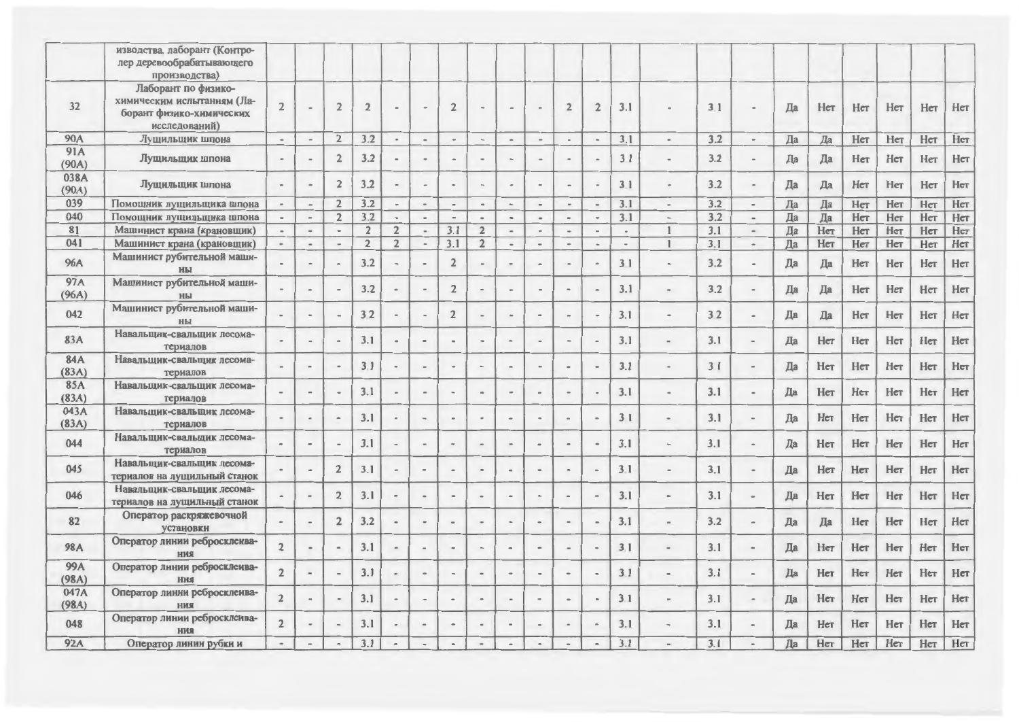| изводства. лаборант (Контро- |                                                                                                                                                                                                                                                                                                                                                                              |                                                                                        |                                                                                                                                                                |                                                                                                                                      |                                                                                                                         |                                                                                                                                                                 |                                                                                                                                                                                                                          |                                                                   |                          |                                                                                      |                          |                                                                                 |                            |                                                                                                                                     |                                                                                                                                                                                |                                                                                                                          |    |                                                                                                    |                                                                                                                      |                                                                                                       |                                                                                                                            |                                                                                                                                   |
|------------------------------|------------------------------------------------------------------------------------------------------------------------------------------------------------------------------------------------------------------------------------------------------------------------------------------------------------------------------------------------------------------------------|----------------------------------------------------------------------------------------|----------------------------------------------------------------------------------------------------------------------------------------------------------------|--------------------------------------------------------------------------------------------------------------------------------------|-------------------------------------------------------------------------------------------------------------------------|-----------------------------------------------------------------------------------------------------------------------------------------------------------------|--------------------------------------------------------------------------------------------------------------------------------------------------------------------------------------------------------------------------|-------------------------------------------------------------------|--------------------------|--------------------------------------------------------------------------------------|--------------------------|---------------------------------------------------------------------------------|----------------------------|-------------------------------------------------------------------------------------------------------------------------------------|--------------------------------------------------------------------------------------------------------------------------------------------------------------------------------|--------------------------------------------------------------------------------------------------------------------------|----|----------------------------------------------------------------------------------------------------|----------------------------------------------------------------------------------------------------------------------|-------------------------------------------------------------------------------------------------------|----------------------------------------------------------------------------------------------------------------------------|-----------------------------------------------------------------------------------------------------------------------------------|
| лер деревообрабатывающего    |                                                                                                                                                                                                                                                                                                                                                                              |                                                                                        |                                                                                                                                                                |                                                                                                                                      |                                                                                                                         |                                                                                                                                                                 |                                                                                                                                                                                                                          |                                                                   |                          |                                                                                      |                          |                                                                                 |                            |                                                                                                                                     |                                                                                                                                                                                |                                                                                                                          |    |                                                                                                    |                                                                                                                      |                                                                                                       |                                                                                                                            |                                                                                                                                   |
| производства)                |                                                                                                                                                                                                                                                                                                                                                                              |                                                                                        |                                                                                                                                                                |                                                                                                                                      |                                                                                                                         |                                                                                                                                                                 |                                                                                                                                                                                                                          |                                                                   |                          |                                                                                      |                          |                                                                                 |                            |                                                                                                                                     |                                                                                                                                                                                |                                                                                                                          |    |                                                                                                    |                                                                                                                      |                                                                                                       |                                                                                                                            |                                                                                                                                   |
| Лаборант по физико-          |                                                                                                                                                                                                                                                                                                                                                                              |                                                                                        |                                                                                                                                                                |                                                                                                                                      |                                                                                                                         |                                                                                                                                                                 |                                                                                                                                                                                                                          |                                                                   |                          |                                                                                      |                          |                                                                                 |                            |                                                                                                                                     |                                                                                                                                                                                |                                                                                                                          |    |                                                                                                    |                                                                                                                      |                                                                                                       |                                                                                                                            |                                                                                                                                   |
| химическим испытаниям (Ла-   |                                                                                                                                                                                                                                                                                                                                                                              |                                                                                        |                                                                                                                                                                |                                                                                                                                      |                                                                                                                         |                                                                                                                                                                 |                                                                                                                                                                                                                          |                                                                   |                          |                                                                                      |                          |                                                                                 |                            |                                                                                                                                     |                                                                                                                                                                                |                                                                                                                          |    |                                                                                                    |                                                                                                                      |                                                                                                       |                                                                                                                            | Her                                                                                                                               |
|                              |                                                                                                                                                                                                                                                                                                                                                                              |                                                                                        |                                                                                                                                                                |                                                                                                                                      |                                                                                                                         |                                                                                                                                                                 |                                                                                                                                                                                                                          |                                                                   |                          |                                                                                      |                          |                                                                                 |                            |                                                                                                                                     |                                                                                                                                                                                |                                                                                                                          |    |                                                                                                    |                                                                                                                      |                                                                                                       |                                                                                                                            |                                                                                                                                   |
| исследований)                |                                                                                                                                                                                                                                                                                                                                                                              |                                                                                        |                                                                                                                                                                |                                                                                                                                      |                                                                                                                         |                                                                                                                                                                 |                                                                                                                                                                                                                          |                                                                   |                          |                                                                                      |                          |                                                                                 |                            |                                                                                                                                     |                                                                                                                                                                                |                                                                                                                          |    |                                                                                                    |                                                                                                                      |                                                                                                       |                                                                                                                            |                                                                                                                                   |
| Лущильщик шпона              | $\overline{\phantom{a}}$                                                                                                                                                                                                                                                                                                                                                     | $\overline{\phantom{a}}$                                                               | $\overline{2}$                                                                                                                                                 | 3.2                                                                                                                                  | $\blacksquare$                                                                                                          | $\hbox{ }$                                                                                                                                                      | $\tilde{\phantom{a}}$                                                                                                                                                                                                    | $\overline{\phantom{a}}$                                          | $\blacksquare$           | $\blacksquare$                                                                       | $\overline{\phantom{a}}$ | $\overline{\phantom{a}}$                                                        |                            | $\overline{\phantom{a}}$                                                                                                            |                                                                                                                                                                                | $\blacksquare$                                                                                                           |    |                                                                                                    | Her                                                                                                                  | Нет                                                                                                   |                                                                                                                            | Нет                                                                                                                               |
|                              |                                                                                                                                                                                                                                                                                                                                                                              |                                                                                        |                                                                                                                                                                |                                                                                                                                      |                                                                                                                         |                                                                                                                                                                 |                                                                                                                                                                                                                          |                                                                   |                          |                                                                                      |                          |                                                                                 |                            |                                                                                                                                     |                                                                                                                                                                                |                                                                                                                          |    |                                                                                                    |                                                                                                                      |                                                                                                       |                                                                                                                            | Нет                                                                                                                               |
|                              |                                                                                                                                                                                                                                                                                                                                                                              |                                                                                        |                                                                                                                                                                |                                                                                                                                      |                                                                                                                         |                                                                                                                                                                 |                                                                                                                                                                                                                          |                                                                   |                          |                                                                                      |                          |                                                                                 |                            |                                                                                                                                     |                                                                                                                                                                                |                                                                                                                          |    |                                                                                                    |                                                                                                                      |                                                                                                       |                                                                                                                            |                                                                                                                                   |
|                              |                                                                                                                                                                                                                                                                                                                                                                              |                                                                                        |                                                                                                                                                                |                                                                                                                                      |                                                                                                                         |                                                                                                                                                                 |                                                                                                                                                                                                                          |                                                                   |                          |                                                                                      |                          |                                                                                 |                            |                                                                                                                                     |                                                                                                                                                                                |                                                                                                                          |    |                                                                                                    |                                                                                                                      |                                                                                                       |                                                                                                                            | Her                                                                                                                               |
|                              |                                                                                                                                                                                                                                                                                                                                                                              |                                                                                        |                                                                                                                                                                |                                                                                                                                      |                                                                                                                         |                                                                                                                                                                 |                                                                                                                                                                                                                          |                                                                   |                          |                                                                                      |                          |                                                                                 |                            |                                                                                                                                     |                                                                                                                                                                                |                                                                                                                          |    |                                                                                                    |                                                                                                                      |                                                                                                       |                                                                                                                            |                                                                                                                                   |
| Помощник лущильщика шпона    | $\sim$                                                                                                                                                                                                                                                                                                                                                                       | $\overline{\phantom{a}}$                                                               | $\overline{2}$                                                                                                                                                 | 3.2                                                                                                                                  | $\blacksquare$                                                                                                          | $\sim$                                                                                                                                                          | $\overline{\phantom{a}}$                                                                                                                                                                                                 | $\,$                                                              | $\;$                     | $\blacksquare$                                                                       | $\blacksquare$           | $\overline{\phantom{a}}$                                                        |                            | $\overline{\phantom{a}}$                                                                                                            | 3.2                                                                                                                                                                            | $\hbox{ }$                                                                                                               | Да | Да                                                                                                 | Her                                                                                                                  |                                                                                                       |                                                                                                                            | Her                                                                                                                               |
| Помощник лущильщика шпона    |                                                                                                                                                                                                                                                                                                                                                                              | $\sim$                                                                                 | $\overline{2}$                                                                                                                                                 | 3.2                                                                                                                                  | $\sim$                                                                                                                  | $\,$ $\,$                                                                                                                                                       | $\overline{\phantom{a}}$                                                                                                                                                                                                 | $\,$                                                              | $\hskip 1.0cm -$         | $\overline{a}$                                                                       | $\hskip1em -$            | $\overline{\phantom{a}}$                                                        |                            | $\overline{\phantom{a}}$                                                                                                            |                                                                                                                                                                                | $\overline{\phantom{a}}$                                                                                                 | Да | Да                                                                                                 | Her                                                                                                                  |                                                                                                       |                                                                                                                            | Her                                                                                                                               |
| Машинист крана (крановщик)   | $\overline{\phantom{a}}$                                                                                                                                                                                                                                                                                                                                                     | $\hbox{ }$                                                                             |                                                                                                                                                                | $\overline{2}$                                                                                                                       | $\overline{2}$                                                                                                          | $\hbox{ }$                                                                                                                                                      | 3.1                                                                                                                                                                                                                      | $\overline{2}$                                                    | $\blacksquare$           |                                                                                      | $\overline{\phantom{a}}$ | $\overline{a}$                                                                  | $\blacksquare$             | $\mathbf{1}$                                                                                                                        |                                                                                                                                                                                | $\blacksquare$                                                                                                           | Да | Her                                                                                                | Her                                                                                                                  |                                                                                                       |                                                                                                                            | Her                                                                                                                               |
| Машинист крана (крановщик)   | $\alpha$                                                                                                                                                                                                                                                                                                                                                                     | $\blacksquare$                                                                         | $\blacksquare$                                                                                                                                                 | $\overline{2}$                                                                                                                       | $\overline{2}$                                                                                                          | $\sim$                                                                                                                                                          | 3.1                                                                                                                                                                                                                      | $\overline{2}$                                                    | $\blacksquare$           | $\blacksquare$                                                                       | $\sim$                   | $\omega$                                                                        | $\overline{\phantom{a}}$   | $\mathbf{I}$                                                                                                                        | 3.1                                                                                                                                                                            | ÷.                                                                                                                       | Да |                                                                                                    | Her                                                                                                                  | Нет                                                                                                   | Нет                                                                                                                        | Her                                                                                                                               |
| Машинист рубительной маши-   |                                                                                                                                                                                                                                                                                                                                                                              |                                                                                        |                                                                                                                                                                |                                                                                                                                      |                                                                                                                         |                                                                                                                                                                 |                                                                                                                                                                                                                          |                                                                   | $\overline{\phantom{a}}$ |                                                                                      |                          |                                                                                 | 31                         | $\hskip 1.6cm =$                                                                                                                    | 3.2                                                                                                                                                                            |                                                                                                                          |    |                                                                                                    | Her                                                                                                                  | Нет                                                                                                   | Her                                                                                                                        | Her                                                                                                                               |
|                              |                                                                                                                                                                                                                                                                                                                                                                              |                                                                                        |                                                                                                                                                                |                                                                                                                                      |                                                                                                                         |                                                                                                                                                                 |                                                                                                                                                                                                                          |                                                                   |                          |                                                                                      |                          |                                                                                 |                            |                                                                                                                                     |                                                                                                                                                                                |                                                                                                                          |    |                                                                                                    |                                                                                                                      |                                                                                                       |                                                                                                                            |                                                                                                                                   |
| ны                           |                                                                                                                                                                                                                                                                                                                                                                              |                                                                                        |                                                                                                                                                                | 3.2                                                                                                                                  |                                                                                                                         |                                                                                                                                                                 | $\overline{2}$                                                                                                                                                                                                           |                                                                   |                          |                                                                                      |                          |                                                                                 | 3.1                        | $\Rightarrow$                                                                                                                       | 3.2                                                                                                                                                                            |                                                                                                                          | Да | Да                                                                                                 | Her                                                                                                                  | Her                                                                                                   | Her                                                                                                                        | Her                                                                                                                               |
| Машинист рубительной маши-   |                                                                                                                                                                                                                                                                                                                                                                              |                                                                                        |                                                                                                                                                                |                                                                                                                                      |                                                                                                                         |                                                                                                                                                                 |                                                                                                                                                                                                                          |                                                                   |                          |                                                                                      |                          |                                                                                 |                            |                                                                                                                                     |                                                                                                                                                                                |                                                                                                                          |    |                                                                                                    |                                                                                                                      |                                                                                                       |                                                                                                                            | Her                                                                                                                               |
| ны                           |                                                                                                                                                                                                                                                                                                                                                                              |                                                                                        |                                                                                                                                                                |                                                                                                                                      |                                                                                                                         |                                                                                                                                                                 |                                                                                                                                                                                                                          |                                                                   |                          |                                                                                      |                          |                                                                                 |                            |                                                                                                                                     |                                                                                                                                                                                |                                                                                                                          |    |                                                                                                    |                                                                                                                      |                                                                                                       |                                                                                                                            |                                                                                                                                   |
| Навальшик-свальщик лесома-   |                                                                                                                                                                                                                                                                                                                                                                              |                                                                                        |                                                                                                                                                                |                                                                                                                                      |                                                                                                                         |                                                                                                                                                                 |                                                                                                                                                                                                                          |                                                                   |                          |                                                                                      |                          |                                                                                 |                            |                                                                                                                                     |                                                                                                                                                                                |                                                                                                                          |    |                                                                                                    |                                                                                                                      |                                                                                                       |                                                                                                                            | Her                                                                                                                               |
| териалов                     |                                                                                                                                                                                                                                                                                                                                                                              |                                                                                        |                                                                                                                                                                |                                                                                                                                      |                                                                                                                         |                                                                                                                                                                 |                                                                                                                                                                                                                          |                                                                   |                          |                                                                                      |                          |                                                                                 |                            |                                                                                                                                     |                                                                                                                                                                                |                                                                                                                          |    |                                                                                                    |                                                                                                                      |                                                                                                       |                                                                                                                            |                                                                                                                                   |
| Навальщик-свальщик лесома-   |                                                                                                                                                                                                                                                                                                                                                                              |                                                                                        |                                                                                                                                                                |                                                                                                                                      |                                                                                                                         |                                                                                                                                                                 |                                                                                                                                                                                                                          |                                                                   |                          |                                                                                      |                          |                                                                                 |                            |                                                                                                                                     |                                                                                                                                                                                |                                                                                                                          |    |                                                                                                    |                                                                                                                      |                                                                                                       |                                                                                                                            | Her                                                                                                                               |
| териалов                     |                                                                                                                                                                                                                                                                                                                                                                              |                                                                                        |                                                                                                                                                                |                                                                                                                                      |                                                                                                                         |                                                                                                                                                                 |                                                                                                                                                                                                                          |                                                                   |                          |                                                                                      |                          |                                                                                 |                            |                                                                                                                                     |                                                                                                                                                                                |                                                                                                                          |    |                                                                                                    |                                                                                                                      |                                                                                                       |                                                                                                                            |                                                                                                                                   |
| Навальщик-свальщик лесома-   |                                                                                                                                                                                                                                                                                                                                                                              |                                                                                        |                                                                                                                                                                |                                                                                                                                      |                                                                                                                         |                                                                                                                                                                 |                                                                                                                                                                                                                          |                                                                   |                          |                                                                                      |                          |                                                                                 |                            |                                                                                                                                     |                                                                                                                                                                                |                                                                                                                          |    |                                                                                                    |                                                                                                                      |                                                                                                       |                                                                                                                            | Her                                                                                                                               |
| териалов                     |                                                                                                                                                                                                                                                                                                                                                                              |                                                                                        |                                                                                                                                                                |                                                                                                                                      |                                                                                                                         |                                                                                                                                                                 |                                                                                                                                                                                                                          |                                                                   |                          |                                                                                      |                          |                                                                                 |                            |                                                                                                                                     |                                                                                                                                                                                |                                                                                                                          |    |                                                                                                    |                                                                                                                      |                                                                                                       |                                                                                                                            |                                                                                                                                   |
| Навальщик-свальщик лесома-   |                                                                                                                                                                                                                                                                                                                                                                              |                                                                                        |                                                                                                                                                                |                                                                                                                                      |                                                                                                                         |                                                                                                                                                                 |                                                                                                                                                                                                                          |                                                                   |                          |                                                                                      |                          |                                                                                 |                            | $\sim$                                                                                                                              |                                                                                                                                                                                |                                                                                                                          |    |                                                                                                    |                                                                                                                      |                                                                                                       |                                                                                                                            | Нет                                                                                                                               |
| териалов                     |                                                                                                                                                                                                                                                                                                                                                                              |                                                                                        |                                                                                                                                                                |                                                                                                                                      |                                                                                                                         |                                                                                                                                                                 |                                                                                                                                                                                                                          |                                                                   |                          |                                                                                      |                          |                                                                                 |                            |                                                                                                                                     |                                                                                                                                                                                |                                                                                                                          |    |                                                                                                    |                                                                                                                      |                                                                                                       |                                                                                                                            |                                                                                                                                   |
| Навальщик-свальщик лесома-   |                                                                                                                                                                                                                                                                                                                                                                              |                                                                                        |                                                                                                                                                                |                                                                                                                                      |                                                                                                                         |                                                                                                                                                                 |                                                                                                                                                                                                                          |                                                                   |                          |                                                                                      |                          |                                                                                 |                            |                                                                                                                                     |                                                                                                                                                                                |                                                                                                                          |    |                                                                                                    |                                                                                                                      |                                                                                                       |                                                                                                                            | Her                                                                                                                               |
| териалов                     |                                                                                                                                                                                                                                                                                                                                                                              |                                                                                        |                                                                                                                                                                |                                                                                                                                      |                                                                                                                         |                                                                                                                                                                 |                                                                                                                                                                                                                          |                                                                   |                          |                                                                                      |                          |                                                                                 |                            |                                                                                                                                     |                                                                                                                                                                                |                                                                                                                          |    |                                                                                                    |                                                                                                                      |                                                                                                       |                                                                                                                            |                                                                                                                                   |
| Навальщик-свальщик лесома-   |                                                                                                                                                                                                                                                                                                                                                                              | $\tilde{\phantom{a}}$                                                                  |                                                                                                                                                                |                                                                                                                                      | $\rightarrow$                                                                                                           | $\qquad \qquad \blacksquare$                                                                                                                                    |                                                                                                                                                                                                                          |                                                                   |                          |                                                                                      |                          |                                                                                 |                            |                                                                                                                                     |                                                                                                                                                                                |                                                                                                                          |    |                                                                                                    |                                                                                                                      |                                                                                                       |                                                                                                                            | Her                                                                                                                               |
|                              |                                                                                                                                                                                                                                                                                                                                                                              |                                                                                        |                                                                                                                                                                |                                                                                                                                      |                                                                                                                         |                                                                                                                                                                 |                                                                                                                                                                                                                          |                                                                   |                          |                                                                                      |                          |                                                                                 |                            |                                                                                                                                     |                                                                                                                                                                                |                                                                                                                          |    |                                                                                                    |                                                                                                                      |                                                                                                       |                                                                                                                            |                                                                                                                                   |
| Навальщик-свальщик лесома-   |                                                                                                                                                                                                                                                                                                                                                                              | $\qquad \qquad \blacksquare$                                                           |                                                                                                                                                                |                                                                                                                                      | $\hbox{ }$                                                                                                              |                                                                                                                                                                 |                                                                                                                                                                                                                          |                                                                   | $\,$                     |                                                                                      |                          | $\overline{\phantom{m}}$                                                        |                            | $\equiv$                                                                                                                            |                                                                                                                                                                                |                                                                                                                          |    |                                                                                                    |                                                                                                                      |                                                                                                       |                                                                                                                            | Her                                                                                                                               |
|                              |                                                                                                                                                                                                                                                                                                                                                                              |                                                                                        |                                                                                                                                                                |                                                                                                                                      |                                                                                                                         |                                                                                                                                                                 |                                                                                                                                                                                                                          |                                                                   |                          |                                                                                      |                          |                                                                                 |                            |                                                                                                                                     |                                                                                                                                                                                |                                                                                                                          |    |                                                                                                    |                                                                                                                      |                                                                                                       |                                                                                                                            |                                                                                                                                   |
|                              |                                                                                                                                                                                                                                                                                                                                                                              |                                                                                        |                                                                                                                                                                |                                                                                                                                      | $\bullet$                                                                                                               |                                                                                                                                                                 | $\blacksquare$                                                                                                                                                                                                           |                                                                   | $\,$                     |                                                                                      |                          | $\blacksquare$                                                                  |                            | $\qquad \qquad \blacksquare$                                                                                                        |                                                                                                                                                                                |                                                                                                                          |    |                                                                                                    |                                                                                                                      |                                                                                                       |                                                                                                                            | Нет                                                                                                                               |
| установки                    |                                                                                                                                                                                                                                                                                                                                                                              |                                                                                        |                                                                                                                                                                |                                                                                                                                      |                                                                                                                         |                                                                                                                                                                 |                                                                                                                                                                                                                          |                                                                   |                          |                                                                                      |                          |                                                                                 |                            |                                                                                                                                     |                                                                                                                                                                                |                                                                                                                          |    |                                                                                                    |                                                                                                                      |                                                                                                       |                                                                                                                            |                                                                                                                                   |
|                              | $\overline{2}$                                                                                                                                                                                                                                                                                                                                                               | $\hbox{ }$                                                                             |                                                                                                                                                                | 3.1                                                                                                                                  | $\bullet$                                                                                                               | $\overline{\phantom{a}}$                                                                                                                                        | $\overline{\phantom{a}}$                                                                                                                                                                                                 |                                                                   | $\overline{a}$           |                                                                                      |                          |                                                                                 | 3.1                        | $\sim$                                                                                                                              | 3.1                                                                                                                                                                            |                                                                                                                          | Да | Her                                                                                                | Her                                                                                                                  | Her                                                                                                   | Her                                                                                                                        | Нет                                                                                                                               |
|                              |                                                                                                                                                                                                                                                                                                                                                                              |                                                                                        |                                                                                                                                                                |                                                                                                                                      |                                                                                                                         |                                                                                                                                                                 |                                                                                                                                                                                                                          |                                                                   |                          |                                                                                      |                          |                                                                                 |                            |                                                                                                                                     |                                                                                                                                                                                |                                                                                                                          |    |                                                                                                    |                                                                                                                      |                                                                                                       |                                                                                                                            |                                                                                                                                   |
|                              |                                                                                                                                                                                                                                                                                                                                                                              | $\blacksquare$                                                                         |                                                                                                                                                                |                                                                                                                                      | $\bullet$                                                                                                               | $\Rightarrow$                                                                                                                                                   |                                                                                                                                                                                                                          |                                                                   |                          |                                                                                      |                          |                                                                                 |                            | $\qquad \qquad \blacksquare$                                                                                                        |                                                                                                                                                                                |                                                                                                                          |    |                                                                                                    |                                                                                                                      |                                                                                                       |                                                                                                                            | Her                                                                                                                               |
|                              |                                                                                                                                                                                                                                                                                                                                                                              |                                                                                        |                                                                                                                                                                |                                                                                                                                      |                                                                                                                         |                                                                                                                                                                 |                                                                                                                                                                                                                          |                                                                   |                          |                                                                                      |                          |                                                                                 |                            |                                                                                                                                     |                                                                                                                                                                                |                                                                                                                          |    |                                                                                                    |                                                                                                                      |                                                                                                       |                                                                                                                            |                                                                                                                                   |
|                              |                                                                                                                                                                                                                                                                                                                                                                              |                                                                                        |                                                                                                                                                                |                                                                                                                                      |                                                                                                                         | $\overline{a}$                                                                                                                                                  |                                                                                                                                                                                                                          |                                                                   |                          |                                                                                      |                          |                                                                                 |                            | $\blacksquare$                                                                                                                      |                                                                                                                                                                                |                                                                                                                          |    |                                                                                                    |                                                                                                                      |                                                                                                       |                                                                                                                            | Her                                                                                                                               |
|                              |                                                                                                                                                                                                                                                                                                                                                                              |                                                                                        |                                                                                                                                                                |                                                                                                                                      |                                                                                                                         |                                                                                                                                                                 |                                                                                                                                                                                                                          |                                                                   |                          |                                                                                      |                          |                                                                                 |                            |                                                                                                                                     |                                                                                                                                                                                |                                                                                                                          |    |                                                                                                    |                                                                                                                      |                                                                                                       |                                                                                                                            |                                                                                                                                   |
| ния                          |                                                                                                                                                                                                                                                                                                                                                                              |                                                                                        |                                                                                                                                                                |                                                                                                                                      |                                                                                                                         |                                                                                                                                                                 |                                                                                                                                                                                                                          |                                                                   |                          |                                                                                      |                          |                                                                                 |                            |                                                                                                                                     |                                                                                                                                                                                |                                                                                                                          |    |                                                                                                    |                                                                                                                      |                                                                                                       |                                                                                                                            | Her                                                                                                                               |
|                              | $\sim$                                                                                                                                                                                                                                                                                                                                                                       | $\overline{a}$                                                                         |                                                                                                                                                                | 3.1                                                                                                                                  |                                                                                                                         |                                                                                                                                                                 |                                                                                                                                                                                                                          |                                                                   | $\overline{a}$           |                                                                                      |                          |                                                                                 | 3.1                        |                                                                                                                                     | 3.1                                                                                                                                                                            |                                                                                                                          | Да | Her                                                                                                | Her                                                                                                                  | Her                                                                                                   | Нет                                                                                                                        | Her                                                                                                                               |
|                              | борант физико-химических<br>Лущильщик шпона<br>Лущильщик шпона<br>ны<br>Машинист рубительной маши-<br>териалов на лущильный станок<br>териалов на лущильный станок<br>Оператор раскряжевочной<br>Оператор линии реброскленва-<br>НИЯ<br>Оператор линии ребросклеива-<br>ния<br>Оператор линии реброскленва-<br>НИЯ<br>Оператор линии ребросклеива-<br>Оператор линии рубки и | $\overline{2}$<br>$\blacksquare$<br>$\overline{2}$<br>$\overline{2}$<br>$\overline{2}$ | $\overline{a}$<br>$\,$<br>$\overline{a}$<br>$\qquad \qquad \blacksquare$<br>$\,$<br>$\overline{\phantom{a}}$<br>$\blacksquare$<br>$\qquad \qquad \blacksquare$ | $\overline{2}$<br>$\overline{2}$<br>$\overline{2}$<br>$\overline{\phantom{a}}$<br>$\overline{2}$<br>$\overline{2}$<br>$\overline{2}$ | $\overline{2}$<br>3.2<br>3.2<br>3.2<br>3.2<br>3.1<br>3.1<br>3.1<br>3.1<br>3.1<br>3.1<br>3.1<br>3.2<br>3.1<br>3.1<br>3.1 | $\qquad \qquad \blacksquare$<br>$\overline{a}$<br>$\blacksquare$<br>$\qquad \qquad \blacksquare$<br>$\sim$<br>$\frac{1}{2}$<br>$\overline{a}$<br>$\overline{a}$ | $\frac{1}{2}$<br>$\overline{a}$<br>$\blacksquare$<br>$\overline{a}$<br>$\qquad \qquad \blacksquare$<br>$\rightarrow$<br>$\blacksquare$<br>$\qquad \qquad \blacksquare$<br>$\sim$<br>$\hat{\phantom{a}}$<br>$\rightarrow$ | $\overline{2}$<br>$\mathbf 2$<br>$\overline{2}$<br>$\blacksquare$ |                          | $\,$ $\,$<br>$\rightarrow$<br>$\qquad \qquad$<br>$\,$ $\,$<br>$\,$<br>$\blacksquare$ |                          | $\overline{2}$<br>$\qquad \qquad$<br>$\overline{\phantom{a}}$<br>$\blacksquare$ | $\overline{2}$<br>$\alpha$ | 3.1<br>3.1<br>31<br>3 <sub>1</sub><br>3.1<br>3.1<br>3.1<br>3.1<br>3.1<br>3.1<br>31<br>3.1<br>3.1<br>3.1<br>3.1<br>3.1<br>3.1<br>3.1 | $\overline{\phantom{a}}$<br>$\tilde{\phantom{a}}$<br>$\blacksquare$<br>$\hskip 1.6cm =$<br>$\blacksquare$<br>$\hskip10pt\hskip10pt\hskip10pt\hskip10pt\hskip10pt$<br>$\,$ $\,$ | 3.1<br>3.2<br>3.2<br>3.2<br>3.2<br>3.1<br>32<br>3.1<br>31<br>3.1<br>3.1<br>3.1<br>3.1<br>3.1<br>3.2<br>3.1<br>3.1<br>3.1 |    | Да<br>Да<br>Да<br>Да<br>Да<br>Да<br>Да<br>Да<br>Да<br>Да<br>Да<br>Да<br>Да<br>Да<br>Да<br>Да<br>Да | Her<br>Да<br>Да<br>Ла<br>Нет<br>Да<br>Ла<br>Her<br>Her<br>Her<br>Her<br>Her<br>Her<br>Her<br>Да<br>Her<br>Her<br>Her | Her<br>Her<br>Her<br>Her<br>Her<br>Her<br>Her<br>Her<br>Her<br>Her<br>Her<br>Her<br>Her<br>Her<br>Her | Her<br>Her<br>Her<br>Her<br>Her<br>Her<br>Her<br>Her<br>Her<br>Her<br>Her<br>Her<br>Нет<br>Her<br>Her<br>Her<br>Her<br>Her | Her<br>Her<br>Her<br>Her<br>Her<br>Her<br>Her<br>Her<br>Her<br>Her<br>Her<br>Her<br>Her<br>Her<br>Her<br>Her<br>Her<br>Her<br>Her |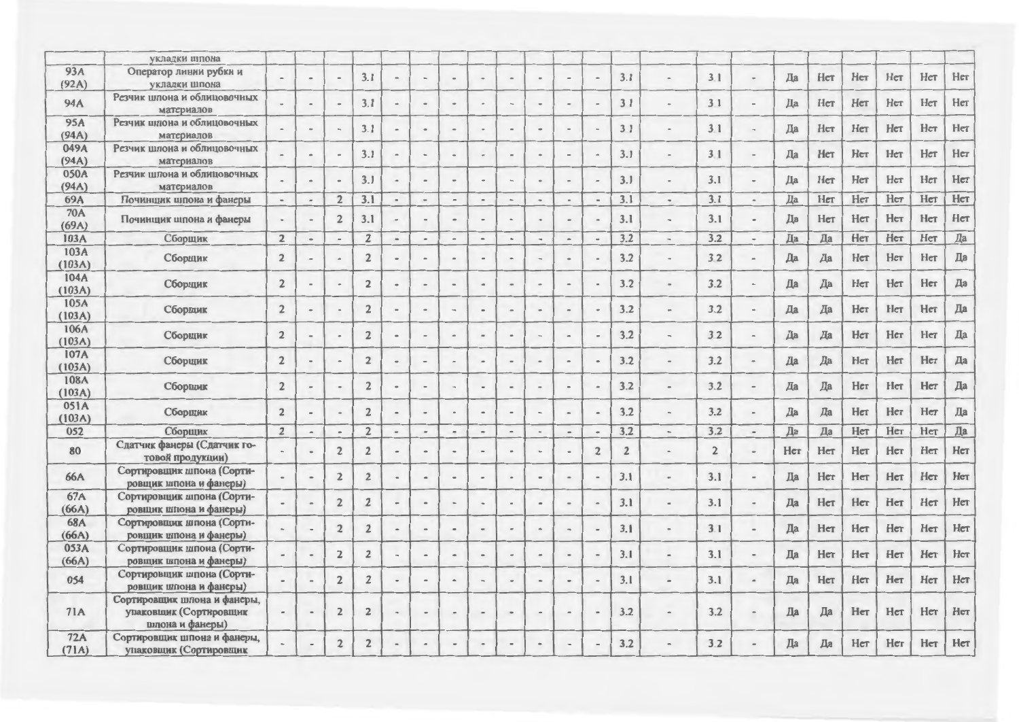|                     | укладки шпона                                                            |                |                              |                      |                |                          |                          |                              |                          |                          |      |                          |                              |                |                              |                |                          |     |     |     |     |     |     |
|---------------------|--------------------------------------------------------------------------|----------------|------------------------------|----------------------|----------------|--------------------------|--------------------------|------------------------------|--------------------------|--------------------------|------|--------------------------|------------------------------|----------------|------------------------------|----------------|--------------------------|-----|-----|-----|-----|-----|-----|
| 93A<br>(92A)        | Оператор линии рубки и<br>укладки шпона                                  |                | $\qquad \qquad \blacksquare$ | $\blacksquare$       | 3.1            | $\sim$                   | $\overline{\phantom{a}}$ |                              | $\overline{\phantom{a}}$ | $\blacksquare$           |      | $\overline{\phantom{a}}$ | $\bullet$                    | 3.1            | $\blacksquare$               | 3.1            |                          | Да  | Her | Her | Her | Нет | Нет |
| 94A                 | Резчик шпона и облицовочных<br>материалов                                |                | $\overline{\phantom{a}}$     | à.                   | 3.1            | $\overline{\phantom{a}}$ | $\;$                     | $\qquad \qquad \blacksquare$ | $\equiv$                 | $\sim$                   |      | $\bullet$                | $\ddot{\phantom{1}}$         | 31             | $\ddot{\phantom{a}}$         | 3 <sub>1</sub> |                          | Да  | Her | Her | Her | Нет | Her |
| 95A<br>(94A)        | Резчик шпона и облицовочных<br>материалов                                |                | $\overline{\phantom{a}}$     |                      | 3.1            |                          | $\bullet$                |                              |                          | $\blacksquare$           |      |                          |                              | 31             | $\frac{1}{2}$                | 3.1            |                          | Да  | Her | Нет | Her | Her | Нет |
| 049A<br>(94A)       | Резчик шпона и облицовочных<br>материалов                                |                | $\overline{\phantom{a}}$     | $\overline{a}$       | 3.1            | $\qquad \qquad$          | $\overline{\phantom{a}}$ | $\overline{\phantom{a}}$     |                          | $\overline{\phantom{a}}$ |      | $\blacksquare$           |                              | 3.1            | $\qquad \qquad \blacksquare$ | 3.1            |                          | Да  | Her | Her | Her | Her | Нет |
| 050A<br>(94A)       | Резчик шпона и облицовочных<br>материалов                                |                | $\bullet$                    | $\ddot{\phantom{1}}$ | 3.1            | $\overline{a}$           | $\rightarrow$            | $\blacksquare$               |                          | $\sim$                   |      | $\blacksquare$           |                              | 3.1            | $\sim$                       | 3.1            |                          | Да  | Her | Her | Her | Her | Her |
| 69A                 | Починщик шпона и фанеры                                                  | $\hbox{ }$     | $\hskip 1.5cm -$             | $\overline{2}$       | 3.1            | $\bullet$                | $\blacksquare$           | $\overline{\phantom{m}}$     |                          | $\sim$                   |      | $\overline{\phantom{0}}$ | $\blacksquare$               | 3.1            | $\,$                         | 3.1            | $\overline{\phantom{a}}$ | Да  | Her | Her | Her | Her | Her |
| <b>70A</b><br>(69A) | Починщик шпона и фанеры                                                  |                | $\overline{\phantom{a}}$     | $\overline{2}$       | 3.1            |                          | $\,$ $\,$                | $\blacksquare$               |                          | $\sim$                   |      | $\Rightarrow$            | $\rightarrow$                | 3.1            | $\blacksquare$               | 3.1            |                          | Да  | Her | Her | Her | Her | Her |
| 103A                | Сборщик                                                                  | $\overline{2}$ | $\hbox{--}$                  | $\sim$               | $\overline{2}$ | $\blacksquare$           | $\tilde{\phantom{a}}$    | $\overline{\phantom{a}}$     |                          | $\bullet$                |      | $\blacksquare$           | $\overline{\phantom{a}}$     | 3.2            | $\qquad \qquad \blacksquare$ | 3.2            |                          | Да  | Да  | Her | Her | Her | Да  |
| 103A<br>(103A)      | Сборщик                                                                  | $\overline{2}$ | $\overline{\phantom{a}}$     |                      | $\overline{2}$ |                          | $\blacksquare$           |                              |                          |                          |      |                          | $\overline{a}$               | 3.2            | $\hskip 1.5cm =$             | 3.2            |                          | Да  | Да  | Her | Нет | Her | Да  |
| 104A<br>(103A)      | Сборщик                                                                  | $\overline{2}$ | $\overline{a}$               | $\ddot{\phantom{1}}$ | $\overline{2}$ | $\overline{a}$           | $\blacksquare$           |                              |                          | $\blacksquare$           |      | $\overline{a}$           |                              | 3.2            | $\alpha$                     | 3.2            |                          | Да  | Да  | Her | Her | Her | Да  |
| 105A<br>(103A)      | Сборщик                                                                  | $\overline{2}$ |                              |                      | $\overline{c}$ |                          | $\rightarrow$            |                              |                          |                          |      |                          |                              | 3.2            | $\overline{a}$               | 3.2            |                          | Да  | Да  | Her | Her | Her | Да  |
| 106A<br>(103A)      | Сборщик                                                                  | $\overline{2}$ |                              |                      | $\overline{2}$ |                          |                          |                              |                          |                          |      |                          |                              | 3.2            | $\sim$                       | 32             |                          | Да  | Да  | Her | Her | Her | Да  |
| 107A<br>(103A)      | Сборщик                                                                  | $\overline{2}$ |                              |                      | $\overline{2}$ | $\overline{\phantom{a}}$ | $\overline{a}$           |                              | $\overline{a}$           | $\sim$                   |      | $\bullet$                | $\overline{\phantom{a}}$     | 3.2            | $\hskip 1.5cm -$             | 3.2            |                          | Да  | Да  | Her | Her | Her | Да  |
| 108A<br>(103A)      | Сборщик                                                                  | $\overline{2}$ | $\qquad \qquad \blacksquare$ | $\bullet$            | $\overline{2}$ | $\hskip1em -$            | $\overline{a}$           | $\rightarrow$                |                          | $\blacksquare$           |      | $\blacksquare$           |                              | 3.2            | $\frac{1}{2}$                | 3.2            |                          | Да  | Да  | Her | Her | Her | Да  |
| 051A<br>(103A)      | Сборщик                                                                  | $\overline{2}$ | $\hskip 1.6cm =$             |                      | $\overline{2}$ | $\frac{1}{2}$            | ٠                        |                              |                          |                          |      | $\blacksquare$           |                              | 3.2            | $\blacksquare$               | 3.2            |                          | Да  | Да  | Her | Her | Her | Да  |
| 052                 | Сборщик                                                                  | $\overline{2}$ | $\hat{\phantom{a}}$          | $\sim$               | $\overline{2}$ | $\blacksquare$           | $\blacksquare$           | $\qquad \qquad =$            | $\blacksquare$           | $\sim$                   | $\,$ | $\blacksquare$           | $\bullet$                    | 3.2            | $\,$                         | 3.2            | $\sim$                   | Да  | Да  | Her | Her | Her | Да  |
| 80                  | Сдатчик фанеры (Сдатчик го-<br>товой продукции)                          |                | $\blacksquare$               | $\overline{2}$       | $\overline{2}$ | $\hbox{ }$               | $\blacksquare$           | $\blacksquare$               |                          | $\blacksquare$           |      |                          | $\overline{\mathbf{2}}$      | $\overline{2}$ | $\blacksquare$               | $\overline{2}$ |                          | Her | Her | Her | Her | Her | Her |
| <b>66A</b>          | Сортировщик шпона (Сорти-<br>ровщик шпона и фанеры)                      |                |                              | $\overline{2}$       | $\overline{2}$ | $\overline{\phantom{0}}$ | $\blacksquare$           |                              |                          | $\frac{1}{2}$            |      |                          | $\blacksquare$               | 3.1            | $\overline{\phantom{a}}$     | 3.1            |                          | Да  | Her | Her | Нет | Her | Нет |
| <b>67A</b><br>(66A) | Сортировщик шпона (Сорти-<br>ровщик шпона и фанеры)                      |                | $\bullet$                    | $\overline{2}$       | $\overline{2}$ |                          | $\overline{a}$           |                              |                          | $\blacksquare$           |      |                          | $\qquad \qquad \blacksquare$ | 3.1            |                              | 3.1            |                          | Да  | Her | Her | Her | Her | Нет |
| <b>68A</b><br>(66A) | Сортировщик шпона (Сорти-<br>ровщик шпона и фанеры)                      |                |                              | $\overline{2}$       | $\overline{2}$ | $\overline{a}$           | $\rightarrow$            |                              |                          | $\blacksquare$           |      |                          |                              | 3.1            |                              | 3.1            |                          | Да  | Her | Her | Her | Her | Her |
| 053A<br>(66A)       | Сортировщик шпона (Сорти-<br>ровщик шпона и фанеры)                      |                |                              | $\overline{2}$       | $\overline{2}$ |                          | $\blacksquare$           |                              |                          | $\blacksquare$           |      |                          |                              | 3.1            | $\qquad \qquad =$            | 3.1            | $\overline{\phantom{0}}$ | Да  | Her | Her | Her | Her | Нет |
| 054                 | Сортировщик шпона (Сорти-<br>ровщик шпона и фанеры)                      |                | $\qquad \qquad \blacksquare$ | $\overline{2}$       | $\overline{2}$ | $\overline{\phantom{a}}$ | $\blacksquare$           | $\frac{1}{2}$                | $\blacksquare$           | $\sim$                   |      | $\bullet$                | $\blacksquare$               | 3.1            | $\qquad \qquad \blacksquare$ | 3.1            |                          | Да  | Her | Her | Her | Нет | Нет |
| 71A                 | Сортировщик шпона и фанеры,<br>упаковщик (Сортировщик<br>шпона и фанеры) |                | $\blacksquare$               | $\overline{2}$       | $\overline{2}$ | $\overline{a}$           | $\hskip 1.0cm -$         |                              |                          | $\qquad \qquad \bullet$  |      | $\blacksquare$           |                              | 3.2            |                              | 3.2            |                          | Да  | Да  | Her | Her | Her | Нет |
| 72A<br>(71A)        | Сортировщик шпона и фанеры,<br>упаковщик (Сортировщик                    |                |                              | $\overline{2}$       | $\overline{2}$ |                          |                          |                              |                          |                          |      |                          |                              | 3.2            |                              | 3.2            |                          | Да  | Да  | Her | Her | Her | Her |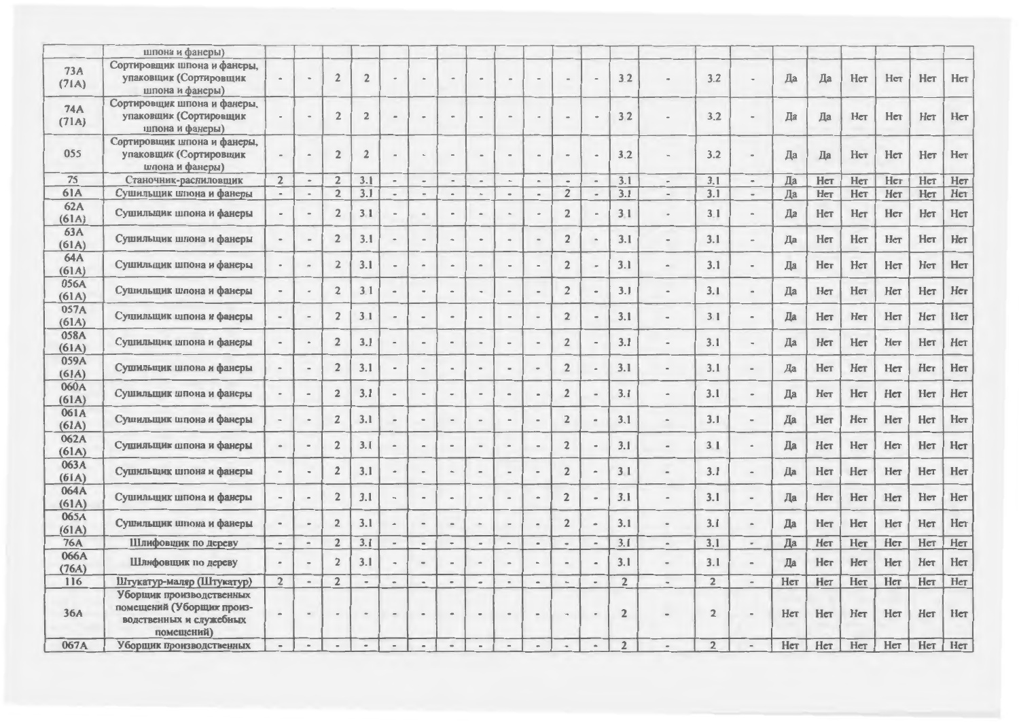|               | шпона и фанеры)             |                          |                                 |                |                |                                                                                                                                                   |                          |                              |                              |                          |                          |                          |                              |                |                                                                      |                |                              |     |     |     |     |     |     |
|---------------|-----------------------------|--------------------------|---------------------------------|----------------|----------------|---------------------------------------------------------------------------------------------------------------------------------------------------|--------------------------|------------------------------|------------------------------|--------------------------|--------------------------|--------------------------|------------------------------|----------------|----------------------------------------------------------------------|----------------|------------------------------|-----|-----|-----|-----|-----|-----|
| 73A           | Сортировщик шпона и фанеры, |                          |                                 |                |                |                                                                                                                                                   |                          |                              |                              |                          |                          |                          |                              |                |                                                                      |                |                              |     |     |     |     |     |     |
| (71A)         | упаковщик (Сортировщик      |                          |                                 | $\sqrt{2}$     | $\overline{2}$ |                                                                                                                                                   | $\sim$                   |                              |                              | $\overline{\phantom{a}}$ |                          |                          |                              | 3.2            |                                                                      | 3.2            |                              | Да  | Да  | Her | Her | Her | Her |
|               | шпона и фанеры)             |                          |                                 |                |                |                                                                                                                                                   |                          |                              |                              |                          |                          |                          |                              |                |                                                                      |                |                              |     |     |     |     |     |     |
| <b>74A</b>    | Сортировщик шпона и фанеры, |                          |                                 |                |                |                                                                                                                                                   |                          |                              |                              |                          |                          |                          |                              |                |                                                                      |                |                              |     |     |     |     |     |     |
| (71A)         | упаковщик (Сортировщик      |                          | $\overline{a}$                  | $\sqrt{2}$     | $\overline{2}$ |                                                                                                                                                   | $\sim$                   |                              |                              | $\overline{\phantom{a}}$ |                          |                          |                              | 32             |                                                                      | 3.2            |                              | Да  | Да  | Her | Her | Her | Нет |
|               | шпона и фанеры)             |                          |                                 |                |                |                                                                                                                                                   |                          |                              |                              |                          |                          |                          |                              |                |                                                                      |                |                              |     |     |     |     |     |     |
|               | Сортировщик шпона и фанеры, |                          |                                 |                |                |                                                                                                                                                   |                          |                              |                              |                          |                          |                          |                              |                |                                                                      |                |                              |     |     |     |     |     |     |
| 055           | упаковщик (Сортировщик      |                          | $\overline{a}$                  | $\overline{2}$ | $\overline{2}$ |                                                                                                                                                   | $\frac{1}{2}$            | $\blacksquare$               | $\blacksquare$               | $\sim$                   |                          | $\overline{a}$           | $\overline{a}$               | 3.2            | $\overline{\phantom{a}}$                                             | 3.2            |                              | Да  | Да  | Her | Her | Нет | Her |
|               | шпона и фанеры)             |                          |                                 |                |                |                                                                                                                                                   |                          |                              |                              |                          |                          |                          |                              |                |                                                                      |                |                              |     |     |     |     |     |     |
| 75            | Станочник-распиловщик       | $\overline{2}$           | $\hbox{ }$                      | $\overline{2}$ | 3.1            | $\overline{\phantom{a}}$                                                                                                                          | $\ddot{\phantom{1}}$     | $\overline{\phantom{a}}$     |                              | $\overline{\phantom{a}}$ | $\sim$                   | $\hbox{ }$               | $\overline{a}$               | 3.1            | $\frac{1}{2}$                                                        | 3.1            | $\overline{\phantom{a}}$     | Да  | Her | Her | Her | Her | Her |
| <b>61A</b>    | Сушильщик шпона и фанеры    | $\hbox{--}$              | $\overline{\phantom{a}}$        | $\overline{2}$ | 3.1            | $\blacksquare$                                                                                                                                    | $\blacksquare$           | $\bullet$                    | $\sim$                       | $\,$                     | $\overline{\phantom{a}}$ | $\overline{2}$           | $\hbox{--}$                  | 3.1            | $\blacksquare$                                                       | 3.1            | $\qquad \qquad$              | Да  | Her | Нет | Нет | Her | Her |
| 62A           | Сушильщик шлона и фанеры    | $\overline{\phantom{a}}$ | $\,$ $\,$                       | $\sqrt{2}$     | 3.1            | $\,$ $\,$                                                                                                                                         | $\equiv$                 | $\blacksquare$               | $\sim$                       | $\,$ $\,$                | $\rightarrow$            | $\overline{2}$           | $\frac{1}{2}$                | 3.1            | $\tilde{\phantom{a}}$                                                | 3.1            |                              | Да  | Her | Her | Her | Her | Нет |
| (61A)         |                             |                          |                                 |                |                |                                                                                                                                                   |                          |                              |                              |                          |                          |                          |                              |                |                                                                      |                |                              |     |     |     |     |     |     |
| 63A           | Сушильщик шпона и фанеры    |                          | $\frac{1}{2}$                   | $\overline{2}$ | 3.1            |                                                                                                                                                   | $\overline{\phantom{a}}$ | $\blacksquare$               |                              | $\tilde{\phantom{a}}$    |                          | $\overline{2}$           |                              | 3.1            | $\sim$                                                               | 3.1            |                              | Да  | Her | Her | Her | Her | Нет |
| (61A)         |                             |                          |                                 |                |                |                                                                                                                                                   |                          |                              |                              |                          |                          |                          |                              |                |                                                                      |                |                              |     |     |     |     |     |     |
| 64A           | Сушильщик шпона и фанеры    |                          | $\sim$                          | $\overline{2}$ | 3.1            |                                                                                                                                                   | $\hat{\phantom{a}}$      |                              |                              | $\,$                     |                          | $\overline{2}$           |                              | 3.1            | $\hskip 1.5cm -$                                                     | 3.1            |                              | Да  | Her | Her | Her | Her | Her |
| (61A)         |                             |                          |                                 |                |                |                                                                                                                                                   |                          |                              |                              |                          |                          |                          |                              |                |                                                                      |                |                              |     |     |     |     |     |     |
| 056A          | Сушильщик шпона и фанеры    |                          | $\overline{\phantom{a}}$        | $\overline{2}$ | 3.1            |                                                                                                                                                   |                          |                              |                              |                          |                          | $\overline{2}$           |                              | 3.1            | $\blacksquare$                                                       | 3.1            |                              | Да  | Her | Her | Нет | Her | Нет |
| (61A)         |                             |                          |                                 |                |                |                                                                                                                                                   |                          |                              |                              |                          |                          |                          |                              |                |                                                                      |                |                              |     |     |     |     |     |     |
| 057A          | Сушильщик шпона и фанеры    |                          | $\blacksquare$                  | $\overline{2}$ | 3.1            |                                                                                                                                                   | $\overline{\phantom{a}}$ |                              | ٠                            |                          |                          | $\overline{2}$           |                              | 3.1            | $\blacksquare$                                                       | 3.1            |                              | Да  | Her | Her | Her | Нет | Нет |
| (61A)<br>058A |                             |                          |                                 |                |                |                                                                                                                                                   |                          |                              |                              |                          |                          |                          |                              |                |                                                                      |                |                              |     |     |     |     |     |     |
| (61A)         | Сушильщик шпона и фанеры    | $\blacksquare$           | $\hbox{--}$                     | $\overline{2}$ | 3.1            | $\hbox{--}$                                                                                                                                       | $\hskip 1.0cm -$         |                              | $\qquad \qquad \blacksquare$ | $\blacksquare$           |                          | $\overline{2}$           | $\overline{\phantom{a}}$     | 3.1            | $\overline{\phantom{a}}$                                             | 3.1            |                              | Да  | Her | Her | Her | Her | Her |
| 059A          |                             |                          |                                 |                |                |                                                                                                                                                   |                          |                              |                              |                          |                          |                          |                              |                |                                                                      |                |                              |     |     |     |     |     |     |
| (61A)         | Сушильщик шпона и фанеры    |                          | $\hspace{0.1mm}-\hspace{0.1mm}$ | $\overline{2}$ | 3.1            | $\hskip1.6pt\hskip1.6pt\hskip1.6pt\hskip1.6pt\hskip1.6pt\hskip1.6pt\hskip1.6pt\hskip1.6pt\hskip1.6pt\hskip1.6pt\hskip1.6pt\hskip1.6pt\hskip1.6pt$ | $\;$                     | $\blacksquare$               | $\blacksquare$               | $\,$                     |                          | $\overline{2}$           | $\qquad \qquad \blacksquare$ | 3.1            | $\blacksquare$                                                       | 3.1            | $\qquad \qquad \blacksquare$ | Да  | Her | Her | Нет | Her | Her |
| 060A          |                             |                          |                                 |                |                |                                                                                                                                                   |                          |                              |                              |                          |                          |                          |                              |                |                                                                      |                |                              |     |     |     |     |     |     |
| (61A)         | Сушильщик шпона и фанеры    |                          | $\alpha$                        | $\overline{2}$ | 3.1            |                                                                                                                                                   | $\alpha$                 |                              |                              | $\blacksquare$           |                          | $\overline{2}$           | $\blacksquare$               | 3.1            | $\qquad \qquad \blacksquare$                                         | 3.1            | $\rightarrow$                | Да  | Her | Her | Her | Her | Her |
| 061A          |                             |                          |                                 |                |                |                                                                                                                                                   |                          |                              |                              |                          |                          |                          |                              |                |                                                                      |                |                              |     |     |     |     |     |     |
| (61A)         | Сушильщик шпона и фанеры    |                          | $\;$                            | $\overline{2}$ | 3.1            |                                                                                                                                                   | $\blacksquare$           |                              |                              |                          |                          | $\overline{2}$           | $\overline{\phantom{0}}$     | 3.1            | $\blacksquare$                                                       | 3.1            |                              | Да  | Нет | Her | Нет | Her | Нет |
| 062A          |                             |                          |                                 |                |                |                                                                                                                                                   |                          |                              |                              |                          |                          |                          |                              |                |                                                                      |                |                              |     |     |     |     |     |     |
| (61A)         | Сушильщик шпона и фанеры    |                          | $\equiv$                        | $\overline{2}$ | 3.1            |                                                                                                                                                   | $\overline{a}$           |                              |                              |                          |                          | $\overline{2}$           |                              | 3.1            | $\qquad \qquad \blacksquare$                                         | 3 <sub>1</sub> |                              | Да  | Her | Her | Нет | Her | Her |
| 063A          |                             |                          |                                 |                |                |                                                                                                                                                   |                          |                              |                              |                          |                          |                          |                              |                |                                                                      |                |                              |     |     |     |     |     | Нет |
| (61A)         | Сушильщик шпона и фанеры    | $\alpha$                 | $\hskip 1.5cm =$                | $\overline{2}$ | 3.1            | $\bullet$                                                                                                                                         | $\bullet$                |                              | $\blacksquare$               | $\sim$                   |                          | $\overline{2}$           | $\qquad \qquad \blacksquare$ | 31             | $\frac{1}{2}$                                                        | 3.1            |                              | Да  | Her | Her | Нет | Her |     |
| 064A          |                             |                          |                                 |                | 3.1            |                                                                                                                                                   |                          |                              |                              |                          |                          |                          |                              | 3.1            |                                                                      | 3.1            |                              | Да  | Her | Her | Her | Her | Нет |
| (61A)         | Сушильщик шпона и фанеры    | $\blacksquare$           | $\hbox{\small -}$               | $\overline{2}$ |                | $\overline{\phantom{a}}$                                                                                                                          | $\blacksquare$           | $\bullet$                    | $\blacksquare$               | $\bullet$                |                          | $\overline{2}$           | ×.                           |                | $\hskip 1.5cm -$                                                     |                |                              |     |     |     |     |     |     |
| 065A          |                             |                          |                                 | $\overline{2}$ | 3.1            |                                                                                                                                                   | $\overline{a}$           |                              |                              | $\blacksquare$           |                          | $\overline{2}$           | $\blacksquare$               | 3.1            | $\hskip 1.5cm -$                                                     | 3.1            |                              | Да  | Her | Her | Нет | Her | Her |
| (61A)         | Сушильщик шпона и фанеры    |                          | $\hbox{ }$                      |                |                | $\hskip1em{\scriptscriptstyle -}$                                                                                                                 |                          | $\blacksquare$               | $\blacksquare$               |                          |                          |                          |                              |                |                                                                      |                |                              |     |     |     |     |     |     |
| <b>76A</b>    | Шлифовщик по дереву         | $\overline{\phantom{a}}$ | $\hbox{ }$                      | $\overline{2}$ | 3.1            | $\sim$                                                                                                                                            | $\blacksquare$           | $\,$                         | $\bullet$                    | $\hskip 1.5cm -$         | $\,$ $\,$                | $\blacksquare$           | $\hbox{--}$                  | 3.1            | $\blacksquare$                                                       | 3.1            | $\overline{\phantom{a}}$     | Да  | Her | Her | Нет | Her | Нет |
| 066A          | Шлифовщик по дереву         | $\blacksquare$           | $\hskip 1.5cm -$                | $\overline{2}$ | 3.1            | $\blacksquare$                                                                                                                                    | $\hbox{ }$               | $\qquad \qquad \blacksquare$ | $\blacksquare$               | $\blacksquare$           |                          | $\frac{1}{2}$            | $\hbox{ }$                   | 3.1            | $\hskip1.6pt\hskip1.6pt\hskip1.6pt\hskip1.6pt\hskip1.6pt\hskip1.6pt$ | 3.1            |                              | Да  | Her | Her | Her | Her | Her |
| (76A)         |                             |                          |                                 |                |                |                                                                                                                                                   |                          |                              |                              |                          |                          |                          |                              |                |                                                                      |                |                              |     |     |     |     |     |     |
| 116           | Штукатур-маляр (Штукатур)   | $\overline{2}$           | $\sim$                          | $\overline{2}$ | $\blacksquare$ | $\bullet$                                                                                                                                         | $\blacksquare$           | $\bullet$                    | $\qquad \qquad \blacksquare$ | $\blacksquare$           | $\blacksquare$           | $\qquad \qquad$          | $\overline{\phantom{a}}$     | $\overline{2}$ | $\sim$                                                               | $\overline{2}$ | $\overline{\phantom{a}}$     | Her | Her | Her | Her | Her | Her |
|               | Уборщик производственных    |                          |                                 |                |                |                                                                                                                                                   |                          |                              |                              |                          |                          |                          |                              |                |                                                                      |                |                              |     |     |     |     |     |     |
| 36A           | помещений (Уборщик произ-   |                          | $\blacksquare$                  | $\overline{a}$ |                |                                                                                                                                                   | ٠                        |                              |                              |                          |                          |                          |                              | $\overline{2}$ |                                                                      | $\overline{2}$ |                              | Her | Her | Her | Her | Her | Нет |
|               | водственных и служебных     |                          |                                 |                |                |                                                                                                                                                   |                          |                              |                              |                          |                          |                          |                              |                |                                                                      |                |                              |     |     |     |     |     |     |
|               | помещений)                  |                          |                                 |                |                |                                                                                                                                                   |                          |                              |                              |                          |                          |                          |                              |                |                                                                      |                |                              |     |     |     |     |     |     |
| 067A          | Уборщик производственных    |                          | $\tilde{\phantom{a}}$           |                |                |                                                                                                                                                   | $\overline{a}$           |                              |                              | $\overline{a}$           |                          | $\overline{\phantom{a}}$ | $\overline{a}$               | $\overline{2}$ |                                                                      | $\overline{2}$ |                              | Her | Нет | Her | Нет | Нет | Нет |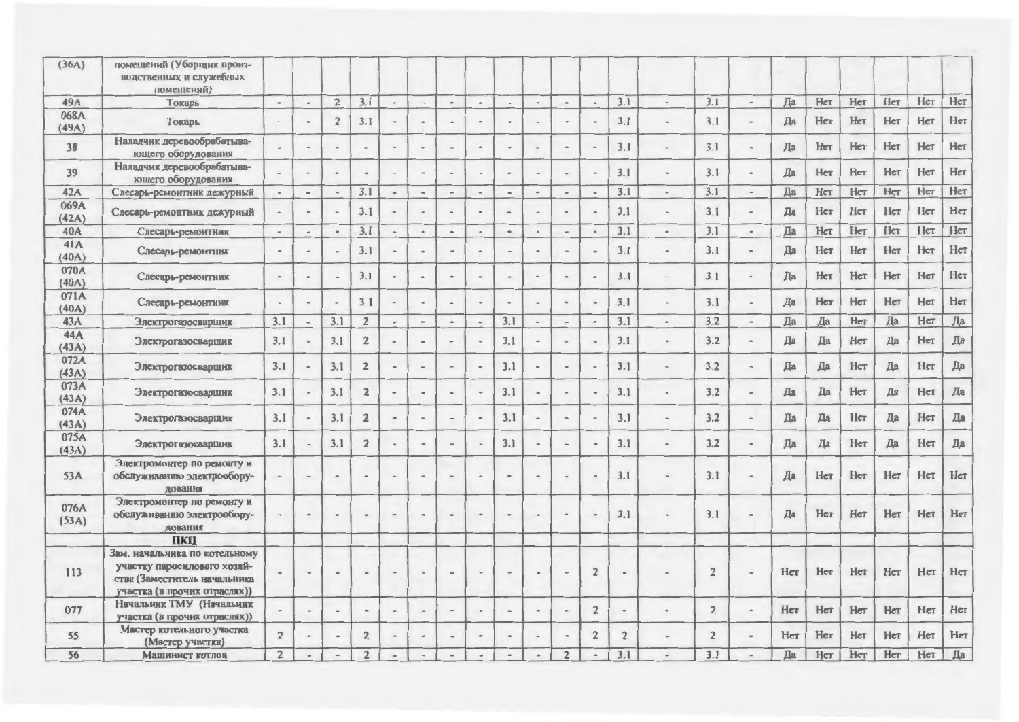| (36A)         | помещений (Уборщик произ-<br>водственных и служебных<br>помещений)                                                           |                                                                                                       |                          |                              |                         |                          |                              |                          |                              |                          |                          |                              |                              |                |                              |                |                          |     |     |     |     |     |     |
|---------------|------------------------------------------------------------------------------------------------------------------------------|-------------------------------------------------------------------------------------------------------|--------------------------|------------------------------|-------------------------|--------------------------|------------------------------|--------------------------|------------------------------|--------------------------|--------------------------|------------------------------|------------------------------|----------------|------------------------------|----------------|--------------------------|-----|-----|-----|-----|-----|-----|
| 49A           | Токарь                                                                                                                       | $\,$                                                                                                  | $\qquad \qquad$          | $\overline{2}$               | 3.1                     | $\hbox{--}$              | $\tilde{\phantom{a}}$        | $\blacksquare$           | $\bullet$                    | $\overline{\phantom{a}}$ | $\;$                     | $\blacksquare$               | $\overline{\phantom{a}}$     | 3.1            | $\overline{a}$               | 3.1            | $\overline{\phantom{a}}$ | Да  | Her | Her | Нет | Her | Нет |
| 068A<br>(49A) | Токарь                                                                                                                       |                                                                                                       |                          | $\sqrt{2}$                   | 3.1                     |                          |                              |                          |                              |                          |                          |                              |                              | 3.1            |                              | 3.1            |                          | Да  | Her | Her | Her | Нет | Нет |
| 38            | Наладчик деревообрабатыва-<br>ющего оборудования                                                                             |                                                                                                       |                          | $\overline{a}$               |                         |                          | $\qquad \qquad \blacksquare$ |                          | $\overline{\phantom{a}}$     |                          |                          | $\overline{\phantom{0}}$     | ٠                            | 3.1            | $\qquad \qquad \blacksquare$ | 3.1            |                          | Да  | Her | Her | Нет | Her | Нет |
| 39            | Наладчик деревообрабатыва-<br>ющего оборудования                                                                             |                                                                                                       | $\hbox{ }$               | $\overline{a}$               | $\sim$                  | $\blacksquare$           | $\blacksquare$               | $\blacksquare$           | $\qquad \qquad$              | $\,$                     |                          | $\qquad \qquad \blacksquare$ | $\qquad \qquad \blacksquare$ | 3.1            | $\overline{\phantom{a}}$     | 3.1            |                          | Да  | Her | Her | Нет | Her | Нет |
| 42A           | Слесарь-ремонтник дежурный                                                                                                   | $\,$                                                                                                  | $\blacksquare$           | $\blacksquare$               | 3.1                     | $\hskip 1.5cm -$         | $\,$                         | $\overline{\phantom{a}}$ | $\overline{a}$               | $\blacksquare$           | $\alpha$                 | $\blacksquare$               | $\hbox{ }$                   | 3.1            | $\Rightarrow$                | 3.1            | $\sim$                   | Да  | Her | Her | Her | Her | Her |
| 069A<br>(42A) | Слесарь-ремонтник дежурный                                                                                                   |                                                                                                       | $\blacksquare$           | $\overline{\phantom{a}}$     | 3.1                     |                          | $\,$                         |                          | $\overline{a}$               | $\qquad \qquad$          |                          | $\overline{a}$               | $\overline{\phantom{a}}$     | 3.1            | $\bullet$                    | 3 <sub>1</sub> |                          | Да  | Her | Her | Her | Нет | Нет |
| 40A           | Слесарь-ремонтник                                                                                                            | $\overline{\phantom{a}}$                                                                              | $\overline{\phantom{a}}$ | $\overline{a}$               | 3.1                     | $\overline{\phantom{a}}$ | $\blacksquare$               | $\overline{\phantom{a}}$ | $\blacksquare$               | $\overline{a}$           | $\ddot{\phantom{1}}$     |                              | $\blacksquare$               | 3.1            | $\overline{a}$               | 3.1            | $\blacksquare$           | Да  | Her | Her | Нет | Her | Her |
| 41A<br>(40A)  | Слесарь-ремонтник                                                                                                            |                                                                                                       |                          |                              | 3.1                     |                          | $\blacksquare$               |                          |                              |                          |                          |                              |                              | 3.1            |                              | 3.1            |                          | Да  | Her | Her | Her | Her | Нет |
| 070A<br>(40A) | Слесарь-ремонтник                                                                                                            | $\hskip 1.0cm$                                                                                        | $\blacksquare$           | $\overline{\phantom{a}}$     | 3.1                     |                          | $\overline{\phantom{a}}$     |                          | $\overline{a}$               | $\,$                     |                          | $\overline{\phantom{0}}$     | ٠                            | 3.1            | $\overline{\phantom{0}}$     | 3.1            |                          | Да  | Her | Her | Her | Her | Нет |
| 071A<br>(40A) | Слесарь-ремонтник                                                                                                            | $\hskip1.6pt\hskip1.6pt\hskip1.6pt\hskip1.6pt\hskip1.6pt\hskip1.6pt\hskip1.6pt\hskip1.6pt\hskip1.6pt$ | $\blacksquare$           | $\blacksquare$               | 3.1                     | $\hbox{ }$               | $\hbox{ }$                   | $\qquad \qquad$          | $\qquad \qquad \blacksquare$ | $\blacksquare$           |                          | $\overline{\phantom{0}}$     | $\blacksquare$               | 3.1            | $\overline{\phantom{a}}$     | 3.1            |                          | Да  | Her | Her | Her | Нет | Нет |
| 43A           | Электрогазосварщик                                                                                                           | 3.1                                                                                                   | $\overline{a}$           | 3.1                          | $\overline{2}$          | $\blacksquare$           | $\,$                         | $\overline{\phantom{0}}$ | $\tilde{\phantom{a}}$        | 3.1                      | $\overline{\phantom{a}}$ | $\qquad \qquad \blacksquare$ | $\sim$                       | 3.1            | $\hskip 1.6cm -$             | 3.2            | $\overline{\phantom{a}}$ | Да  | Да  | Her | Да  | Her | Да  |
| 44A<br>(43A)  | Электрогазосварщик                                                                                                           | 3.1                                                                                                   |                          | 3.1                          | $\overline{2}$          |                          | $\rightarrow$                |                          |                              | 3.1                      |                          |                              | $\blacksquare$               | 3.1            | $\sim$                       | 3.2            |                          | Да  | Да  | Her | Да  | Her | Да  |
| 072A<br>(43A) | Электрогазосварщик                                                                                                           | 3.1                                                                                                   | $\overline{a}$           | 3.1                          | $\overline{2}$          | $\bullet$                | $\blacksquare$               | $\blacksquare$           |                              | 3.1                      |                          | $\overline{a}$               | $\ddot{\phantom{1}}$         | 3.1            | $\sim$                       | 3.2            |                          | Да  | Да  | Her | Да  | Her | Да  |
| 073A<br>(43A) | Электрогазосварщик                                                                                                           | 3.1                                                                                                   |                          | 3.1                          | $\overline{2}$          |                          | $\blacksquare$               |                          |                              | 3.1                      |                          |                              | $\qquad \qquad \blacksquare$ | 3.1            | $\bullet$                    | 3.2            |                          | Да  | Да  | Her | Да  | Нет | Да  |
| 074A<br>(43A) | Электрогазосварщик                                                                                                           | 3.1                                                                                                   | $\rightarrow$            | 3.1                          | $\overline{2}$          |                          | $\,$ $\,$                    | $\overline{a}$           |                              | 3,1                      | $\qquad \qquad$          | $\blacksquare$               | $\overline{\phantom{a}}$     | 3.1            | $\blacksquare$               | 3.2            |                          | Да  | Да  | Her | Да  | Нет | Да  |
| 075A<br>(43A) | Электрогазосварщик                                                                                                           | 3.1                                                                                                   |                          | 3.1                          | $\overline{\mathbf{2}}$ |                          | $\overline{a}$               |                          |                              | 3.1                      |                          |                              |                              | 3.1            | $\qquad \qquad \blacksquare$ | 3.2            |                          | Да  | Да  | Her | Да  | Her | Да  |
| 53A           | Электромонтер по ремонту и<br>обслуживанию электрообору-<br>дования                                                          |                                                                                                       |                          | $\blacksquare$               |                         |                          | $\blacksquare$               |                          |                              | $\overline{\phantom{a}}$ |                          |                              |                              | 3.1            |                              | 3.1            |                          | Да  | Her | Her | Her | Her | Нет |
| 076A<br>(53A) | Электромонтер по ремонту и<br>обслуживанию электрообору-<br>дования                                                          |                                                                                                       | $\rightarrow$            | $\blacksquare$               |                         |                          | $\blacksquare$               |                          |                              | $\bullet$                |                          |                              |                              | 3.1            |                              | 3.1            |                          | Да  | Her | Her | Her | Her | Her |
|               | пкц                                                                                                                          |                                                                                                       |                          |                              |                         |                          |                              |                          |                              |                          |                          |                              |                              |                |                              |                |                          |     |     |     |     |     |     |
| 113           | Зам. начальника по котельному<br>участку паросилового хозяй-<br>ства (Заместитель начальника<br>участка (в прочих отраслях)) |                                                                                                       |                          | ٠                            |                         |                          | $\sim$                       |                          |                              |                          |                          |                              | $\overline{2}$               |                |                              | $\overline{2}$ |                          | Her | Her | Нет | Her | Her | Нет |
| 077           | Начальник ТМУ (Начальник<br>участка (в прочих отраслях))                                                                     |                                                                                                       | $\overline{a}$           | $\rightarrow$                |                         |                          | $\,$ $\,$                    | $\blacksquare$           | $\blacksquare$               | $\hat{\phantom{a}}$      |                          | $\blacksquare$               | $\overline{2}$               |                |                              | $\overline{2}$ | $\blacksquare$           | Her | Her | Her | Her | Her | Нет |
| 55            | Мастер котельного участка<br>(Мастер участка)                                                                                | $\overline{2}$                                                                                        | $\overline{a}$           |                              | $\overline{2}$          |                          | $\blacksquare$               |                          |                              |                          |                          |                              | $\overline{2}$               | $\overline{2}$ |                              | $\overline{2}$ |                          | Her | Her | Her | Her | Her | Her |
| 56            | Машинист котлов                                                                                                              | $\overline{2}$                                                                                        | $\overline{\phantom{a}}$ | $\qquad \qquad \blacksquare$ | $\overline{2}$          |                          | $\sim$                       | $\rightarrow$            | $\frac{1}{2}$                | $\overline{\phantom{m}}$ | $\rightarrow$            | $\overline{2}$               | $\qquad \qquad \blacksquare$ | 3.1            | $\qquad \qquad \blacksquare$ | 3.1            |                          | Да  | Her | Her | Her | Her | Да  |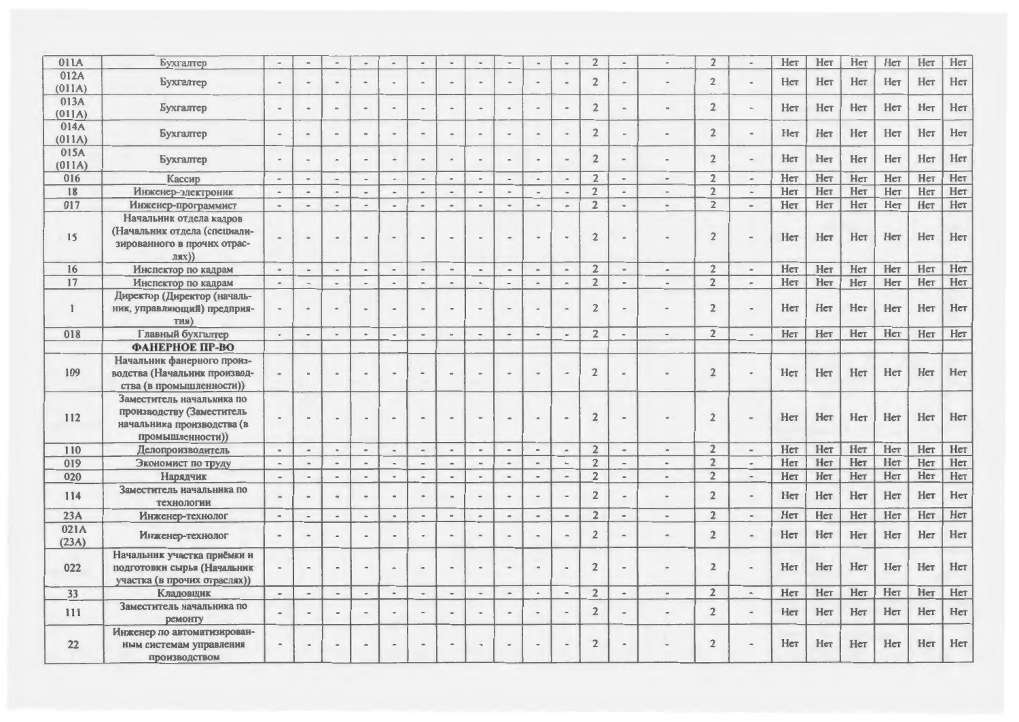| 011A          | Бухгалтер                                                                                                | $\sim$                | $\overline{a}$               | $\overline{\phantom{a}}$     |                          |                          | $\sim$                       | $\overline{a}$               |                          | ٠                        |                              |                              | $\overline{2}$ | $\bullet$                |                              | $\overline{2}$ |                     | Her | Her | Нет | Her | Her | Her |
|---------------|----------------------------------------------------------------------------------------------------------|-----------------------|------------------------------|------------------------------|--------------------------|--------------------------|------------------------------|------------------------------|--------------------------|--------------------------|------------------------------|------------------------------|----------------|--------------------------|------------------------------|----------------|---------------------|-----|-----|-----|-----|-----|-----|
| 012A          | <b><i><u>Eyxramep</u></i></b>                                                                            | $\,$                  | $\qquad \qquad \blacksquare$ | $\frac{1}{2}$                | $\sim$                   | $\sim$                   | $\blacksquare$               | $\equiv$                     |                          | $\blacksquare$           | $\overline{\phantom{a}}$     | $\blacksquare$               | $\sqrt{2}$     | $\,$ $\,$                |                              | $\overline{2}$ |                     | Her | Her | Her | Нет | Нет | Нет |
| (011A)        |                                                                                                          |                       |                              |                              |                          |                          |                              |                              |                          |                          |                              |                              |                |                          |                              |                |                     |     |     |     |     |     |     |
| 013A          | Бухгалтер                                                                                                |                       | $\ddot{\phantom{0}}$         |                              |                          |                          | $\overline{a}$               |                              |                          | $\ddot{\phantom{0}}$     |                              |                              | $\overline{2}$ |                          |                              | $\overline{2}$ |                     | Her | Нет | Her | Нет | Нет | Нет |
| (011A)        |                                                                                                          |                       |                              |                              |                          |                          |                              |                              |                          |                          |                              |                              |                |                          |                              |                |                     |     |     |     |     |     |     |
| 014A          | Бухгалтер                                                                                                | $\,$ $\,$             | $\qquad \qquad \blacksquare$ | $\qquad \qquad -$            |                          | $\,$ $\,$                | $\blacksquare$               | $\rightarrow$                |                          | $\overline{\phantom{a}}$ |                              |                              | $\overline{2}$ |                          |                              | $\overline{2}$ |                     | Her | Her | Нет | Нет | Нет | Нет |
| (011A)        |                                                                                                          |                       |                              |                              |                          |                          |                              |                              |                          |                          |                              |                              |                |                          |                              |                |                     |     |     |     |     |     |     |
| 015A          | Бухгалтер                                                                                                | $\bullet$             | $\rightarrow$                | $\rightarrow$                |                          |                          | $\qquad \qquad \blacksquare$ |                              |                          |                          |                              |                              | $\overline{2}$ |                          |                              | $\overline{2}$ |                     | Her | Her | Нет | Нет | Нет | Нет |
| (011A)        |                                                                                                          |                       |                              |                              |                          |                          |                              |                              |                          |                          |                              |                              |                |                          |                              |                |                     |     |     |     |     |     |     |
| 016           | Кассир                                                                                                   | $\,$ $\,$             | $\,$                         | $\rightarrow$                | $\,$ $\,$                | $\sigma_{\rm f}$         | $\bullet$                    | $\sim$                       | $\sim$                   | $\rightarrow$            | $\blacksquare$               | $\bar{a}$                    | $\overline{2}$ | $\blacksquare$           | $\sim$                       | $\overline{2}$ | $\overline{a}$      | Her | Her | Her | Her | Нет | Her |
| 18            | Инженер-электроник                                                                                       | $\tilde{\phantom{a}}$ | $\blacksquare$               | $\sim$                       |                          |                          | $\blacksquare$               | $\sim$                       | $\sim$                   | $\sim$                   |                              | $\overline{a}$               | $\overline{2}$ |                          | $\,$ $\,$                    | $\overline{2}$ | $\sim$              | Her | Нет | Her | Her | Her | Her |
| 017           | Инженер-программист                                                                                      | $\sim$                | $\bullet$                    | $\sim$                       | $\bullet$                | $\overline{\phantom{a}}$ | $\ddot{\phantom{1}}$         | $\hbox{--}$                  | $\sim$                   | $\sim$                   | $\frac{1}{2}$                | $\sim$                       | $\overline{2}$ | $\bullet$                | $\sim$                       | $\overline{2}$ | $\qquad \qquad$     | Her | Her | Her | Нет | Нет | Нет |
| 15            | Начальник отдела кадров<br>(Начальник отдела (специали-<br>зированного в прочих отрас-<br>J(RX))         |                       |                              |                              |                          |                          | $\blacksquare$               | $\blacksquare$               |                          |                          |                              |                              | $\sqrt{2}$     |                          |                              | $\overline{2}$ |                     | Her | Her | Her | Her | Her | Нет |
| 16            | Инспектор по кадрам                                                                                      | $\hbox{--}$           | $\blacksquare$               | $\sim$                       | $\sim$                   | $\overline{\phantom{a}}$ | $\,$                         | $\hskip 1.5cm -$             | $\hbox{--}$              | $\,$                     | $\tilde{\phantom{a}}$        | $\overline{\phantom{a}}$     | $\overline{2}$ | $\hbox{ }$               | $\hbox{ }$                   | $\overline{2}$ |                     | Нет | Нет | Her | Нет | Нет | Her |
| 17            | Инспектор по кадрам                                                                                      | $\hbox{ }$            | $\hskip 1.5cm -$             | $\blacksquare$               | $\sim$                   | $\hbox{ }$               | $\hat{\phantom{a}}$          | $\hbox{ }$                   | $\blacksquare$           | $\overline{\phantom{a}}$ | $\blacksquare$               | $\overline{a}$               | $\overline{2}$ | $\blacksquare$           |                              | $\overline{2}$ | $\blacksquare$      | Her | Her | Her | Her | Her | Нет |
|               | Директор (Директор (началь-                                                                              |                       |                              |                              |                          |                          |                              |                              |                          |                          |                              |                              |                |                          |                              |                |                     |     |     |     |     |     |     |
| $\mathbf{I}$  | ник, управляющий) предприя-<br>тия)                                                                      |                       | $\sim$                       | $\bullet$                    |                          |                          | $\overline{a}$               | $\blacksquare$               |                          | $\overline{\phantom{a}}$ |                              |                              | $\overline{2}$ |                          |                              | $\overline{2}$ |                     | Her | Her | Her | Her | Her | Her |
| 018           | Главный бухгалтер                                                                                        | $\blacksquare$        | $\hskip 1.5cm -$             | $\ddot{\phantom{a}}$         | $\alpha$                 |                          | $\overline{\phantom{a}}$     | $\overline{\phantom{a}}$     |                          | $\overline{\phantom{a}}$ |                              | $\overline{a}$               | $\overline{2}$ |                          |                              | $\overline{2}$ |                     | Нет | Her | Her | Нет | Нет | Her |
|               | ФАНЕРНОЕ ПР-ВО                                                                                           |                       |                              |                              |                          |                          |                              |                              |                          |                          |                              |                              |                |                          |                              |                |                     |     |     |     |     |     |     |
| 109           | Начальник фанерного произ-<br>водства (Начальник производ-<br>ства (в промышленности))                   |                       |                              |                              |                          |                          | $\overline{a}$               |                              |                          |                          |                              |                              | $\overline{2}$ |                          |                              | $\overline{2}$ |                     | Her | Her | Her | Her | Нет | Нет |
| 112           | Заместитель начальника по<br>производству (Заместитель<br>начальника производства (в<br>промышленности)) |                       |                              |                              |                          |                          |                              |                              |                          |                          |                              |                              | $\overline{2}$ |                          |                              | $\overline{2}$ |                     | Her | Her | Her | Нет | Her | Нет |
| 110           | Делопроизводитель                                                                                        | $\hbox{ }$            | $\overline{\phantom{a}}$     | $\hat{\phantom{a}}$          | $\blacksquare$           | $\;$                     | $\sim$                       | $\hat{\phantom{a}}$          | $\hskip 1.5cm -$         | $\blacksquare$           | $\blacksquare$               | $\sim$                       | $\overline{2}$ | $\bullet$                | $\hbox{ }$                   | $\overline{2}$ | $\hskip 1.5cm -$    | Нет | Her | Her | Her | Her | Нет |
| 019           | Экономист по труду                                                                                       | $\blacksquare$        | $\hbox{--}$                  | $\overline{a}$               | $\overline{\phantom{a}}$ | $\blacksquare$           | $\,$ $\,$                    | $\blacksquare$               | $\overline{\phantom{a}}$ | $\overline{\phantom{a}}$ | $\ddot{\phantom{1}}$         | $\overline{\phantom{a}}$     | $\overline{2}$ | $\overline{a}$           |                              | $\overline{2}$ | $\bullet$           | Her | Нет | Her | Her | Нет | Her |
| 020           | Нарядчик                                                                                                 | $\,$                  | $\blacksquare$               | $\qquad \qquad \blacksquare$ | $\sim$                   | $\tilde{\phantom{a}}$    | $\overline{\phantom{a}}$     | $\hskip 1.5cm =$             | $\bullet$                | $\hbox{\small -}$        | $\qquad \qquad \blacksquare$ | $\qquad \qquad \blacksquare$ | $\overline{2}$ | $\overline{\phantom{a}}$ |                              | $\overline{2}$ | $\blacksquare$      | Her | Нет | Her | Нет | Her | Нет |
| 114           | Заместитель начальника по<br>технологии                                                                  |                       | $\qquad \qquad \blacksquare$ |                              | $\,$                     |                          | $\Rightarrow$                | $\qquad \qquad \blacksquare$ |                          | $\,$                     |                              |                              | $\overline{2}$ |                          | $\qquad \qquad \blacksquare$ | $\overline{2}$ |                     | Her | Her | Her | Her | Нет | Нет |
| 23A           | Инженер-технолог                                                                                         | $\sim$                | $\blacksquare$               | $\tilde{\phantom{a}}$        | $\blacksquare$           | $\blacksquare$           | $\overline{\phantom{a}}$     | $\hskip1em -$                | $\overline{\phantom{a}}$ | $\hskip 1.5cm -$         | $\overline{a}$               | $\blacksquare$               | $\overline{2}$ | $\overline{\phantom{a}}$ | $\bullet$                    | $\overline{2}$ | $\blacksquare$      | Her | Her | Her | Her | Нет | Нет |
| 021A<br>(23A) | Инженер-технолог                                                                                         |                       |                              |                              |                          |                          |                              |                              |                          |                          |                              |                              | $\overline{2}$ |                          |                              | $\overline{2}$ |                     | Her | Нет | Her | Her | Нет | Нет |
| 022           | Начальник участка приёмки и<br>подготовки сырья (Начальник<br>участка (в прочих отраслях))               |                       | $\blacksquare$               |                              |                          |                          | $\overline{a}$               | $\rightarrow$                |                          | $\overline{a}$           |                              |                              | $\overline{2}$ |                          |                              | $\overline{2}$ |                     | Нет | Her | Her | Her | Нет | Нет |
| 33            | Кладовщик                                                                                                | $\blacksquare$        | $\hat{\phantom{a}}$          | $\hbox{ }$                   | $\tilde{\phantom{a}}$    | $\blacksquare$           | $\sim$                       | $\hbox{ }$                   | $\blacksquare$           | $\hbox{--}$              |                              | $\overline{\phantom{0}}$     | $\overline{2}$ | $\blacksquare$           | $\blacksquare$               | $\overline{2}$ | $\hat{\phantom{a}}$ | Нет | Her | Her | Нет | Her | Нет |
| 111           | Заместитель начальника по<br>ремонту                                                                     |                       | $\overline{\phantom{a}}$     |                              |                          |                          | $\overline{\phantom{0}}$     | $\blacksquare$               |                          | $\sim$                   | ٠                            | $\overline{a}$               | $\overline{2}$ |                          | $\blacksquare$               | $\overline{2}$ |                     | Her | Нет | Her | Нет | Нет | Нет |
| 22            | Инженер по автоматизирован-<br>ным системам управления<br><b>Производством</b>                           |                       | $\qquad \qquad \blacksquare$ |                              |                          | $\blacksquare$           | $\rightarrow$                | $\qquad \qquad \blacksquare$ |                          |                          |                              |                              | $\overline{2}$ |                          |                              | $\overline{2}$ |                     | Her | Her | Нет | Her | Her | Нет |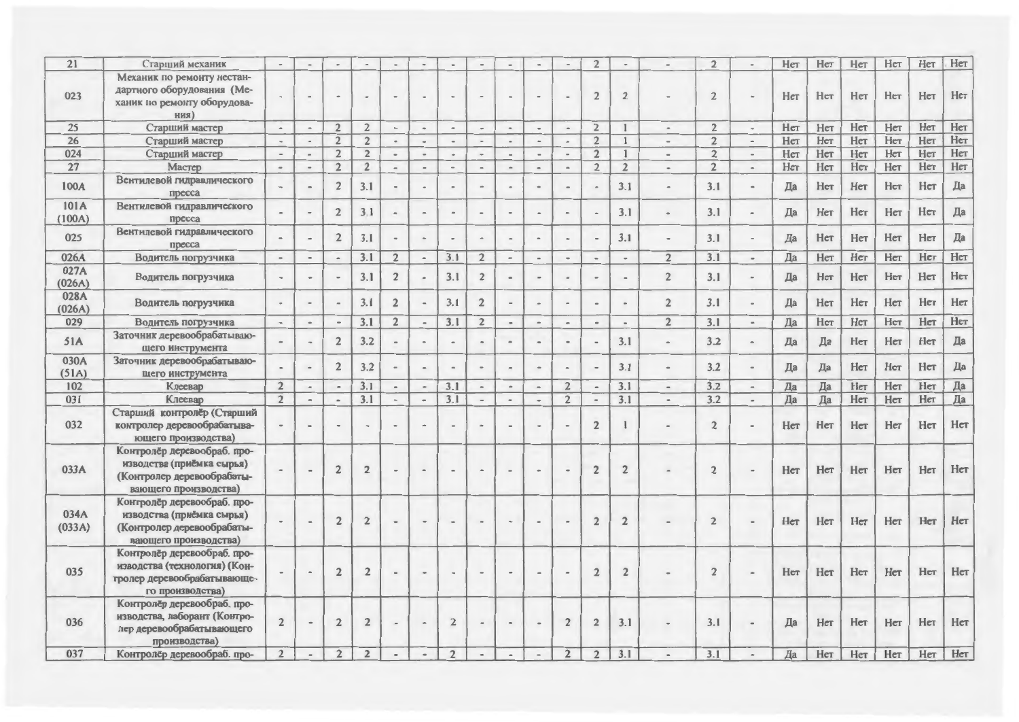| Механик по ремонту нестан-<br>дартного оборудования (Ме-<br>$\overline{2}$<br>$\overline{2}$<br>Нет<br>Нет<br>Нет<br>Her<br>$\overline{2}$<br>Her<br>023<br>ханик по ремонту оборудова-<br>ния)<br>Her<br>Нет<br>$\overline{2}$<br>$\overline{2}$<br>Нет<br>Her<br>Her<br>$\overline{2}$<br>$\overline{2}$<br>$\mathbf{1}$<br>Her<br>25<br>$\overline{\phantom{a}}$<br>Старший мастер<br>$\overline{\phantom{a}}$<br>$\sim$<br>$\bullet$<br>$\overline{\phantom{a}}$<br>$\overline{\phantom{0}}$<br>$\overline{a}$<br>$\overline{a}$<br>$\bullet$<br>$\blacksquare$<br>Her<br>Her<br>Нет<br>$\overline{2}$<br>Her<br>Her<br>Нет<br>$\overline{2}$<br>$\overline{2}$<br>26<br>$\overline{2}$<br>$\mathbf{1}$<br>Старший мастер<br>$\overline{\phantom{a}}$<br>$\overline{\phantom{a}}$<br>$\hbox{ }$<br>$\sim$<br>$\overline{\phantom{a}}$<br>$\blacksquare$<br>$\overline{\phantom{a}}$<br>$\hbox{ }$<br>$\,$<br>$\bullet$<br>$\qquad \qquad \blacksquare$<br>Her<br>Нет<br>$\overline{2}$<br>Her<br>Нет<br>$\overline{2}$<br>$\overline{2}$<br>$\mathbf{1}$<br>Her<br>Her<br>$\overline{2}$<br>024<br>Старший мастер<br>$\overline{\phantom{a}}$<br>$\overline{\phantom{a}}$<br>$\,$<br>$\overline{a}$<br>$\hskip 1.5cm -$<br>$\hskip 1.5cm -$<br>$\tilde{\phantom{a}}$<br>$\,$<br>$\qquad \qquad \blacksquare$<br>$\overline{\phantom{0}}$<br>Нет<br>Her<br>$\overline{2}$<br>$\overline{2}$<br>$\overline{2}$<br>Her<br>Нет<br>Нет<br>Нет<br>$\overline{2}$<br>$\overline{2}$<br>$\overline{27}$<br>Мастер<br>$\hskip 1.6cm =$<br>$\overline{\phantom{a}}$<br>$\hskip1em -$<br>$\tilde{\phantom{a}}$<br>$\hbox{--}$<br>$\overline{\phantom{a}}$<br>$\blacksquare$<br>$\hskip 1.5cm -$<br>$\sim$<br>$\bullet$<br>Вентилевой гидравлического<br>Да<br>Her<br>$\overline{2}$<br>3.1<br>3.1<br>Да<br>Нет<br>Нет<br>Her<br>100A<br>3.1<br>$\overline{a}$<br>$\overline{a}$<br>пресса<br>101A<br>Вентилевой гидравлического<br>Да<br>3.1<br>Her<br>Нет<br>Her<br>Нет<br>$\overline{2}$<br>3.1<br>3.1<br>Да<br>$\overline{\phantom{0}}$<br>(100A)<br>npecca<br>Вентилевой гидравлического<br>Her<br>Да<br>$\overline{2}$<br>3.1<br>3.1<br>Да<br>Нет<br>Her<br>3.1<br>Her<br>025<br>$\,$<br>$\overline{a}$<br>$\overline{a}$<br>$\blacksquare$<br>$\overline{a}$<br>$\sim$<br>÷.<br>пресса<br>Her<br>Нет<br>$\overline{2}$<br>3.1<br>Да<br>Нет<br>Her<br>$\overline{3.1}$<br>$\overline{2}$<br>3.1<br>$\overline{2}$<br>$\overline{a}$<br>026A<br>$\overline{\phantom{a}}$<br>$\overline{a}$<br>$\overline{\phantom{a}}$<br>Водитель погрузчика<br>L.<br>$\overline{\phantom{a}}$<br>$\overline{\phantom{a}}$<br>$\blacksquare$<br>$\sim$<br>027A<br>Her<br>3.1<br>$\overline{2}$<br>Да<br>Her<br>Her<br>3.1<br>$\overline{2}$<br>$\overline{2}$<br>3.1<br>Her<br>Водитель погрузчика<br>$\frac{1}{2}$<br>(026A)<br>028A<br>$\overline{2}$<br>$\overline{2}$<br>Her<br>Нет<br>3.1<br>3.1<br>Her<br>Her<br>3.1<br>$\overline{2}$<br>Да<br>Водитель погрузчика<br>$\overline{\phantom{a}}$<br>$\scriptstyle\rm m$<br>$\sim$<br>$\blacksquare$<br>$\blacksquare$<br>$\bullet$<br>(026A)<br>Her<br>Her<br>3.1<br>$\overline{2}$<br>$\overline{2}$<br>3.1<br>Да<br>Her<br>Нет<br>3.1<br>$\overline{2}$<br>029<br>$\overline{\phantom{a}}$<br>$\hbox{ }$<br>$\overline{\phantom{a}}$<br>$\overline{\phantom{a}}$<br>$\blacksquare$<br>$\overline{\phantom{a}}$<br>Водитель погрузчика<br>$\overline{\phantom{a}}$<br>$\overline{a}$<br>$\overline{\phantom{a}}$<br>Заточник деревообрабатываю-<br>Да<br>3.1<br>3.2<br>Да<br>Нет<br>Her<br>$\overline{2}$<br>3.2<br>Да<br>Her<br>51A<br>$\hskip 1.6cm =$<br>щего инструмента<br>030A<br>Заточник деревообрабатываю-<br>Да<br>3.2<br>$\overline{2}$<br>3.2<br>3.1<br>Да<br>Her<br>Her<br>Her<br>Да<br>$\blacksquare$<br>$\overline{\phantom{0}}$<br>$\overline{\phantom{a}}$<br>$\equiv$<br>$\sim$<br>(51A)<br>щего инструмента<br>Her<br>3.1<br>3.2<br>Her<br>Her<br>$\overline{2}$<br>Да<br>Да<br>3.1<br>3.1<br>$\overline{2}$<br>102<br>Клеевар<br>$\overline{\phantom{a}}$<br>$\sim$<br>$\sim$<br>$\overline{\phantom{a}}$<br>$\hat{\phantom{a}}$<br>$\hbox{--}$<br>$\blacksquare$<br>$\overline{\phantom{a}}$<br>$\qquad \qquad \blacksquare$<br>$\qquad \qquad =$<br>Да<br>Her<br>3.1<br>3.2<br>Her<br>Her<br>$\overline{2}$<br>Да<br>Да<br>$\overline{2}$<br>3.1<br>3.1<br>031<br>Клеевар<br>$\overline{\phantom{0}}$<br>$\overline{a}$<br>$\overline{\phantom{a}}$<br>$\blacksquare$<br>$\overline{\phantom{a}}$<br>$\overline{\phantom{a}}$<br>$\overline{a}$<br>$\sim$<br>$\sim$<br>$\overline{\phantom{a}}$<br>Старший контролёр (Старший<br>Her<br>$\overline{2}$<br>$\overline{2}$<br>Her<br>Her<br>Her<br>032<br>Her<br>контролер деревообрабатыва-<br>$\overline{a}$<br>$\frac{1}{2}$<br>$\ddot{\phantom{1}}$<br>ющего производства)<br>Контролёр деревообраб. про-<br>изводства (приёмка сырья)<br>$\overline{2}$<br>$\overline{2}$<br>$\overline{2}$<br>Her<br>Her<br>Her<br>Her<br>$\overline{2}$<br>$\overline{2}$<br>Her<br>033A<br>۰<br>(Контролер деревообрабаты-<br>вающего производства)<br>Контролёр деревообраб. про-<br>034A<br>изводства (приёмка сырья)<br>Her<br>$\overline{2}$<br>Her<br>Her<br>Her<br>Her<br>$\overline{2}$<br>$\overline{2}$<br>$\overline{2}$<br>$\overline{2}$<br>(033A)<br>(Контролер деревообрабаты-<br>вающего производства)<br>Контролёр деревообраб. про-<br>изводства (технология) (Кон-<br>Her<br>$\overline{2}$<br>$\overline{2}$<br>Her<br>Her<br>Her<br>035<br>$\overline{2}$<br>Her<br>$\overline{2}$<br>$\overline{2}$<br>тролер деревообрабатывающе-<br>го производства)<br>Контролёр деревообраб. про-<br>изводства, лаборант (Контро-<br>Her<br>Нет<br>$\overline{2}$<br>$\overline{2}$<br>$\overline{2}$<br>$\overline{2}$<br>3.1<br>Да<br>Her<br>Her<br>036<br>$\overline{2}$<br>3.1<br>$\overline{2}$<br>$\blacksquare$<br>лер деревообрабатывающего<br>производства)<br>Her<br>$\overline{2}$<br>$\overline{2}$<br>$\overline{2}$<br>$\overline{a}$<br>$\overline{a}$ | 21  | Старший механик             |  |                |  |  |  |                | $\overline{2}$ | $\bullet$ | $\overline{2}$ | Her | Her | Her | Her | Нет | Her |
|--------------------------------------------------------------------------------------------------------------------------------------------------------------------------------------------------------------------------------------------------------------------------------------------------------------------------------------------------------------------------------------------------------------------------------------------------------------------------------------------------------------------------------------------------------------------------------------------------------------------------------------------------------------------------------------------------------------------------------------------------------------------------------------------------------------------------------------------------------------------------------------------------------------------------------------------------------------------------------------------------------------------------------------------------------------------------------------------------------------------------------------------------------------------------------------------------------------------------------------------------------------------------------------------------------------------------------------------------------------------------------------------------------------------------------------------------------------------------------------------------------------------------------------------------------------------------------------------------------------------------------------------------------------------------------------------------------------------------------------------------------------------------------------------------------------------------------------------------------------------------------------------------------------------------------------------------------------------------------------------------------------------------------------------------------------------------------------------------------------------------------------------------------------------------------------------------------------------------------------------------------------------------------------------------------------------------------------------------------------------------------------------------------------------------------------------------------------------------------------------------------------------------------------------------------------------------------------------------------------------------------------------------------------------------------------------------------------------------------------------------------------------------------------------------------------------------------------------------------------------------------------------------------------------------------------------------------------------------------------------------------------------------------------------------------------------------------------------------------------------------------------------------------------------------------------------------------------------------------------------------------------------------------------------------------------------------------------------------------------------------------------------------------------------------------------------------------------------------------------------------------------------------------------------------------------------------------------------------------------------------------------------------------------------------------------------------------------------------------------------------------------------------------------------------------------------------------------------------------------------------------------------------------------------------------------------------------------------------------------------------------------------------------------------------------------------------------------------------------------------------------------------------------------------------------------------------------------------------------------------------------------------------------------------------------------------------------------------------------------------------------------------------------------------------------------------------------------------------------------------------------------------------------------------------------------------------------------------------------------------------------------------------------------------------------------------------------------------------------------------------------------------------------------------------------------------------------------------------------------------------------------------------------------------------------------------------------------------------------------------------------------------------------------------------------------------------------------------------------------------------------------------------------------------------------------------------------------------------------------------------------------------------------------------------------------------------------------------------------------------------------------------------------------------------------------------------------------------------------------------------------------------------------------------------------------------------------------------------------------------------------------------------------------------------------------------------------------------------------------------------------------------------------------------------------------------------------------------------------------------------------------------------------------------------------------------------------------------------------|-----|-----------------------------|--|----------------|--|--|--|----------------|----------------|-----------|----------------|-----|-----|-----|-----|-----|-----|
|                                                                                                                                                                                                                                                                                                                                                                                                                                                                                                                                                                                                                                                                                                                                                                                                                                                                                                                                                                                                                                                                                                                                                                                                                                                                                                                                                                                                                                                                                                                                                                                                                                                                                                                                                                                                                                                                                                                                                                                                                                                                                                                                                                                                                                                                                                                                                                                                                                                                                                                                                                                                                                                                                                                                                                                                                                                                                                                                                                                                                                                                                                                                                                                                                                                                                                                                                                                                                                                                                                                                                                                                                                                                                                                                                                                                                                                                                                                                                                                                                                                                                                                                                                                                                                                                                                                                                                                                                                                                                                                                                                                                                                                                                                                                                                                                                                                                                                                                                                                                                                                                                                                                                                                                                                                                                                                                                                                                                                                                                                                                                                                                                                                                                                                                                                                                                                                                                                                                                                                |     |                             |  |                |  |  |  |                |                |           |                |     |     |     |     |     | Нет |
|                                                                                                                                                                                                                                                                                                                                                                                                                                                                                                                                                                                                                                                                                                                                                                                                                                                                                                                                                                                                                                                                                                                                                                                                                                                                                                                                                                                                                                                                                                                                                                                                                                                                                                                                                                                                                                                                                                                                                                                                                                                                                                                                                                                                                                                                                                                                                                                                                                                                                                                                                                                                                                                                                                                                                                                                                                                                                                                                                                                                                                                                                                                                                                                                                                                                                                                                                                                                                                                                                                                                                                                                                                                                                                                                                                                                                                                                                                                                                                                                                                                                                                                                                                                                                                                                                                                                                                                                                                                                                                                                                                                                                                                                                                                                                                                                                                                                                                                                                                                                                                                                                                                                                                                                                                                                                                                                                                                                                                                                                                                                                                                                                                                                                                                                                                                                                                                                                                                                                                                |     |                             |  |                |  |  |  |                |                |           |                |     |     |     |     |     |     |
|                                                                                                                                                                                                                                                                                                                                                                                                                                                                                                                                                                                                                                                                                                                                                                                                                                                                                                                                                                                                                                                                                                                                                                                                                                                                                                                                                                                                                                                                                                                                                                                                                                                                                                                                                                                                                                                                                                                                                                                                                                                                                                                                                                                                                                                                                                                                                                                                                                                                                                                                                                                                                                                                                                                                                                                                                                                                                                                                                                                                                                                                                                                                                                                                                                                                                                                                                                                                                                                                                                                                                                                                                                                                                                                                                                                                                                                                                                                                                                                                                                                                                                                                                                                                                                                                                                                                                                                                                                                                                                                                                                                                                                                                                                                                                                                                                                                                                                                                                                                                                                                                                                                                                                                                                                                                                                                                                                                                                                                                                                                                                                                                                                                                                                                                                                                                                                                                                                                                                                                |     |                             |  |                |  |  |  |                |                |           |                |     |     |     |     |     |     |
|                                                                                                                                                                                                                                                                                                                                                                                                                                                                                                                                                                                                                                                                                                                                                                                                                                                                                                                                                                                                                                                                                                                                                                                                                                                                                                                                                                                                                                                                                                                                                                                                                                                                                                                                                                                                                                                                                                                                                                                                                                                                                                                                                                                                                                                                                                                                                                                                                                                                                                                                                                                                                                                                                                                                                                                                                                                                                                                                                                                                                                                                                                                                                                                                                                                                                                                                                                                                                                                                                                                                                                                                                                                                                                                                                                                                                                                                                                                                                                                                                                                                                                                                                                                                                                                                                                                                                                                                                                                                                                                                                                                                                                                                                                                                                                                                                                                                                                                                                                                                                                                                                                                                                                                                                                                                                                                                                                                                                                                                                                                                                                                                                                                                                                                                                                                                                                                                                                                                                                                |     |                             |  |                |  |  |  |                |                |           |                |     |     |     |     |     |     |
|                                                                                                                                                                                                                                                                                                                                                                                                                                                                                                                                                                                                                                                                                                                                                                                                                                                                                                                                                                                                                                                                                                                                                                                                                                                                                                                                                                                                                                                                                                                                                                                                                                                                                                                                                                                                                                                                                                                                                                                                                                                                                                                                                                                                                                                                                                                                                                                                                                                                                                                                                                                                                                                                                                                                                                                                                                                                                                                                                                                                                                                                                                                                                                                                                                                                                                                                                                                                                                                                                                                                                                                                                                                                                                                                                                                                                                                                                                                                                                                                                                                                                                                                                                                                                                                                                                                                                                                                                                                                                                                                                                                                                                                                                                                                                                                                                                                                                                                                                                                                                                                                                                                                                                                                                                                                                                                                                                                                                                                                                                                                                                                                                                                                                                                                                                                                                                                                                                                                                                                |     |                             |  |                |  |  |  |                |                |           |                |     |     |     |     |     |     |
|                                                                                                                                                                                                                                                                                                                                                                                                                                                                                                                                                                                                                                                                                                                                                                                                                                                                                                                                                                                                                                                                                                                                                                                                                                                                                                                                                                                                                                                                                                                                                                                                                                                                                                                                                                                                                                                                                                                                                                                                                                                                                                                                                                                                                                                                                                                                                                                                                                                                                                                                                                                                                                                                                                                                                                                                                                                                                                                                                                                                                                                                                                                                                                                                                                                                                                                                                                                                                                                                                                                                                                                                                                                                                                                                                                                                                                                                                                                                                                                                                                                                                                                                                                                                                                                                                                                                                                                                                                                                                                                                                                                                                                                                                                                                                                                                                                                                                                                                                                                                                                                                                                                                                                                                                                                                                                                                                                                                                                                                                                                                                                                                                                                                                                                                                                                                                                                                                                                                                                                |     |                             |  |                |  |  |  |                |                |           |                |     |     |     |     |     |     |
|                                                                                                                                                                                                                                                                                                                                                                                                                                                                                                                                                                                                                                                                                                                                                                                                                                                                                                                                                                                                                                                                                                                                                                                                                                                                                                                                                                                                                                                                                                                                                                                                                                                                                                                                                                                                                                                                                                                                                                                                                                                                                                                                                                                                                                                                                                                                                                                                                                                                                                                                                                                                                                                                                                                                                                                                                                                                                                                                                                                                                                                                                                                                                                                                                                                                                                                                                                                                                                                                                                                                                                                                                                                                                                                                                                                                                                                                                                                                                                                                                                                                                                                                                                                                                                                                                                                                                                                                                                                                                                                                                                                                                                                                                                                                                                                                                                                                                                                                                                                                                                                                                                                                                                                                                                                                                                                                                                                                                                                                                                                                                                                                                                                                                                                                                                                                                                                                                                                                                                                |     |                             |  |                |  |  |  |                |                |           |                |     |     |     |     |     |     |
|                                                                                                                                                                                                                                                                                                                                                                                                                                                                                                                                                                                                                                                                                                                                                                                                                                                                                                                                                                                                                                                                                                                                                                                                                                                                                                                                                                                                                                                                                                                                                                                                                                                                                                                                                                                                                                                                                                                                                                                                                                                                                                                                                                                                                                                                                                                                                                                                                                                                                                                                                                                                                                                                                                                                                                                                                                                                                                                                                                                                                                                                                                                                                                                                                                                                                                                                                                                                                                                                                                                                                                                                                                                                                                                                                                                                                                                                                                                                                                                                                                                                                                                                                                                                                                                                                                                                                                                                                                                                                                                                                                                                                                                                                                                                                                                                                                                                                                                                                                                                                                                                                                                                                                                                                                                                                                                                                                                                                                                                                                                                                                                                                                                                                                                                                                                                                                                                                                                                                                                |     |                             |  |                |  |  |  |                |                |           |                |     |     |     |     |     |     |
|                                                                                                                                                                                                                                                                                                                                                                                                                                                                                                                                                                                                                                                                                                                                                                                                                                                                                                                                                                                                                                                                                                                                                                                                                                                                                                                                                                                                                                                                                                                                                                                                                                                                                                                                                                                                                                                                                                                                                                                                                                                                                                                                                                                                                                                                                                                                                                                                                                                                                                                                                                                                                                                                                                                                                                                                                                                                                                                                                                                                                                                                                                                                                                                                                                                                                                                                                                                                                                                                                                                                                                                                                                                                                                                                                                                                                                                                                                                                                                                                                                                                                                                                                                                                                                                                                                                                                                                                                                                                                                                                                                                                                                                                                                                                                                                                                                                                                                                                                                                                                                                                                                                                                                                                                                                                                                                                                                                                                                                                                                                                                                                                                                                                                                                                                                                                                                                                                                                                                                                |     |                             |  |                |  |  |  |                |                |           |                |     |     |     |     |     | Her |
|                                                                                                                                                                                                                                                                                                                                                                                                                                                                                                                                                                                                                                                                                                                                                                                                                                                                                                                                                                                                                                                                                                                                                                                                                                                                                                                                                                                                                                                                                                                                                                                                                                                                                                                                                                                                                                                                                                                                                                                                                                                                                                                                                                                                                                                                                                                                                                                                                                                                                                                                                                                                                                                                                                                                                                                                                                                                                                                                                                                                                                                                                                                                                                                                                                                                                                                                                                                                                                                                                                                                                                                                                                                                                                                                                                                                                                                                                                                                                                                                                                                                                                                                                                                                                                                                                                                                                                                                                                                                                                                                                                                                                                                                                                                                                                                                                                                                                                                                                                                                                                                                                                                                                                                                                                                                                                                                                                                                                                                                                                                                                                                                                                                                                                                                                                                                                                                                                                                                                                                |     |                             |  |                |  |  |  |                |                |           |                |     |     |     |     |     | Нет |
|                                                                                                                                                                                                                                                                                                                                                                                                                                                                                                                                                                                                                                                                                                                                                                                                                                                                                                                                                                                                                                                                                                                                                                                                                                                                                                                                                                                                                                                                                                                                                                                                                                                                                                                                                                                                                                                                                                                                                                                                                                                                                                                                                                                                                                                                                                                                                                                                                                                                                                                                                                                                                                                                                                                                                                                                                                                                                                                                                                                                                                                                                                                                                                                                                                                                                                                                                                                                                                                                                                                                                                                                                                                                                                                                                                                                                                                                                                                                                                                                                                                                                                                                                                                                                                                                                                                                                                                                                                                                                                                                                                                                                                                                                                                                                                                                                                                                                                                                                                                                                                                                                                                                                                                                                                                                                                                                                                                                                                                                                                                                                                                                                                                                                                                                                                                                                                                                                                                                                                                |     |                             |  |                |  |  |  |                |                |           |                |     |     |     |     |     | Her |
|                                                                                                                                                                                                                                                                                                                                                                                                                                                                                                                                                                                                                                                                                                                                                                                                                                                                                                                                                                                                                                                                                                                                                                                                                                                                                                                                                                                                                                                                                                                                                                                                                                                                                                                                                                                                                                                                                                                                                                                                                                                                                                                                                                                                                                                                                                                                                                                                                                                                                                                                                                                                                                                                                                                                                                                                                                                                                                                                                                                                                                                                                                                                                                                                                                                                                                                                                                                                                                                                                                                                                                                                                                                                                                                                                                                                                                                                                                                                                                                                                                                                                                                                                                                                                                                                                                                                                                                                                                                                                                                                                                                                                                                                                                                                                                                                                                                                                                                                                                                                                                                                                                                                                                                                                                                                                                                                                                                                                                                                                                                                                                                                                                                                                                                                                                                                                                                                                                                                                                                |     |                             |  |                |  |  |  |                |                |           |                |     |     |     |     |     | Her |
|                                                                                                                                                                                                                                                                                                                                                                                                                                                                                                                                                                                                                                                                                                                                                                                                                                                                                                                                                                                                                                                                                                                                                                                                                                                                                                                                                                                                                                                                                                                                                                                                                                                                                                                                                                                                                                                                                                                                                                                                                                                                                                                                                                                                                                                                                                                                                                                                                                                                                                                                                                                                                                                                                                                                                                                                                                                                                                                                                                                                                                                                                                                                                                                                                                                                                                                                                                                                                                                                                                                                                                                                                                                                                                                                                                                                                                                                                                                                                                                                                                                                                                                                                                                                                                                                                                                                                                                                                                                                                                                                                                                                                                                                                                                                                                                                                                                                                                                                                                                                                                                                                                                                                                                                                                                                                                                                                                                                                                                                                                                                                                                                                                                                                                                                                                                                                                                                                                                                                                                |     |                             |  |                |  |  |  |                |                |           |                |     |     |     |     |     |     |
|                                                                                                                                                                                                                                                                                                                                                                                                                                                                                                                                                                                                                                                                                                                                                                                                                                                                                                                                                                                                                                                                                                                                                                                                                                                                                                                                                                                                                                                                                                                                                                                                                                                                                                                                                                                                                                                                                                                                                                                                                                                                                                                                                                                                                                                                                                                                                                                                                                                                                                                                                                                                                                                                                                                                                                                                                                                                                                                                                                                                                                                                                                                                                                                                                                                                                                                                                                                                                                                                                                                                                                                                                                                                                                                                                                                                                                                                                                                                                                                                                                                                                                                                                                                                                                                                                                                                                                                                                                                                                                                                                                                                                                                                                                                                                                                                                                                                                                                                                                                                                                                                                                                                                                                                                                                                                                                                                                                                                                                                                                                                                                                                                                                                                                                                                                                                                                                                                                                                                                                |     |                             |  |                |  |  |  |                |                |           |                |     |     |     |     |     |     |
|                                                                                                                                                                                                                                                                                                                                                                                                                                                                                                                                                                                                                                                                                                                                                                                                                                                                                                                                                                                                                                                                                                                                                                                                                                                                                                                                                                                                                                                                                                                                                                                                                                                                                                                                                                                                                                                                                                                                                                                                                                                                                                                                                                                                                                                                                                                                                                                                                                                                                                                                                                                                                                                                                                                                                                                                                                                                                                                                                                                                                                                                                                                                                                                                                                                                                                                                                                                                                                                                                                                                                                                                                                                                                                                                                                                                                                                                                                                                                                                                                                                                                                                                                                                                                                                                                                                                                                                                                                                                                                                                                                                                                                                                                                                                                                                                                                                                                                                                                                                                                                                                                                                                                                                                                                                                                                                                                                                                                                                                                                                                                                                                                                                                                                                                                                                                                                                                                                                                                                                |     |                             |  |                |  |  |  |                |                |           |                |     |     |     |     |     | Да  |
|                                                                                                                                                                                                                                                                                                                                                                                                                                                                                                                                                                                                                                                                                                                                                                                                                                                                                                                                                                                                                                                                                                                                                                                                                                                                                                                                                                                                                                                                                                                                                                                                                                                                                                                                                                                                                                                                                                                                                                                                                                                                                                                                                                                                                                                                                                                                                                                                                                                                                                                                                                                                                                                                                                                                                                                                                                                                                                                                                                                                                                                                                                                                                                                                                                                                                                                                                                                                                                                                                                                                                                                                                                                                                                                                                                                                                                                                                                                                                                                                                                                                                                                                                                                                                                                                                                                                                                                                                                                                                                                                                                                                                                                                                                                                                                                                                                                                                                                                                                                                                                                                                                                                                                                                                                                                                                                                                                                                                                                                                                                                                                                                                                                                                                                                                                                                                                                                                                                                                                                |     |                             |  |                |  |  |  |                |                |           |                |     |     |     |     |     |     |
|                                                                                                                                                                                                                                                                                                                                                                                                                                                                                                                                                                                                                                                                                                                                                                                                                                                                                                                                                                                                                                                                                                                                                                                                                                                                                                                                                                                                                                                                                                                                                                                                                                                                                                                                                                                                                                                                                                                                                                                                                                                                                                                                                                                                                                                                                                                                                                                                                                                                                                                                                                                                                                                                                                                                                                                                                                                                                                                                                                                                                                                                                                                                                                                                                                                                                                                                                                                                                                                                                                                                                                                                                                                                                                                                                                                                                                                                                                                                                                                                                                                                                                                                                                                                                                                                                                                                                                                                                                                                                                                                                                                                                                                                                                                                                                                                                                                                                                                                                                                                                                                                                                                                                                                                                                                                                                                                                                                                                                                                                                                                                                                                                                                                                                                                                                                                                                                                                                                                                                                |     |                             |  |                |  |  |  |                |                |           |                |     |     |     |     |     | Нет |
|                                                                                                                                                                                                                                                                                                                                                                                                                                                                                                                                                                                                                                                                                                                                                                                                                                                                                                                                                                                                                                                                                                                                                                                                                                                                                                                                                                                                                                                                                                                                                                                                                                                                                                                                                                                                                                                                                                                                                                                                                                                                                                                                                                                                                                                                                                                                                                                                                                                                                                                                                                                                                                                                                                                                                                                                                                                                                                                                                                                                                                                                                                                                                                                                                                                                                                                                                                                                                                                                                                                                                                                                                                                                                                                                                                                                                                                                                                                                                                                                                                                                                                                                                                                                                                                                                                                                                                                                                                                                                                                                                                                                                                                                                                                                                                                                                                                                                                                                                                                                                                                                                                                                                                                                                                                                                                                                                                                                                                                                                                                                                                                                                                                                                                                                                                                                                                                                                                                                                                                |     |                             |  |                |  |  |  |                |                |           |                |     |     |     |     |     | Her |
|                                                                                                                                                                                                                                                                                                                                                                                                                                                                                                                                                                                                                                                                                                                                                                                                                                                                                                                                                                                                                                                                                                                                                                                                                                                                                                                                                                                                                                                                                                                                                                                                                                                                                                                                                                                                                                                                                                                                                                                                                                                                                                                                                                                                                                                                                                                                                                                                                                                                                                                                                                                                                                                                                                                                                                                                                                                                                                                                                                                                                                                                                                                                                                                                                                                                                                                                                                                                                                                                                                                                                                                                                                                                                                                                                                                                                                                                                                                                                                                                                                                                                                                                                                                                                                                                                                                                                                                                                                                                                                                                                                                                                                                                                                                                                                                                                                                                                                                                                                                                                                                                                                                                                                                                                                                                                                                                                                                                                                                                                                                                                                                                                                                                                                                                                                                                                                                                                                                                                                                |     |                             |  |                |  |  |  |                |                |           |                |     |     |     |     |     | Her |
|                                                                                                                                                                                                                                                                                                                                                                                                                                                                                                                                                                                                                                                                                                                                                                                                                                                                                                                                                                                                                                                                                                                                                                                                                                                                                                                                                                                                                                                                                                                                                                                                                                                                                                                                                                                                                                                                                                                                                                                                                                                                                                                                                                                                                                                                                                                                                                                                                                                                                                                                                                                                                                                                                                                                                                                                                                                                                                                                                                                                                                                                                                                                                                                                                                                                                                                                                                                                                                                                                                                                                                                                                                                                                                                                                                                                                                                                                                                                                                                                                                                                                                                                                                                                                                                                                                                                                                                                                                                                                                                                                                                                                                                                                                                                                                                                                                                                                                                                                                                                                                                                                                                                                                                                                                                                                                                                                                                                                                                                                                                                                                                                                                                                                                                                                                                                                                                                                                                                                                                |     |                             |  |                |  |  |  |                |                |           |                |     |     |     |     |     | Her |
|                                                                                                                                                                                                                                                                                                                                                                                                                                                                                                                                                                                                                                                                                                                                                                                                                                                                                                                                                                                                                                                                                                                                                                                                                                                                                                                                                                                                                                                                                                                                                                                                                                                                                                                                                                                                                                                                                                                                                                                                                                                                                                                                                                                                                                                                                                                                                                                                                                                                                                                                                                                                                                                                                                                                                                                                                                                                                                                                                                                                                                                                                                                                                                                                                                                                                                                                                                                                                                                                                                                                                                                                                                                                                                                                                                                                                                                                                                                                                                                                                                                                                                                                                                                                                                                                                                                                                                                                                                                                                                                                                                                                                                                                                                                                                                                                                                                                                                                                                                                                                                                                                                                                                                                                                                                                                                                                                                                                                                                                                                                                                                                                                                                                                                                                                                                                                                                                                                                                                                                |     |                             |  |                |  |  |  |                |                |           |                |     |     |     |     |     | Нет |
|                                                                                                                                                                                                                                                                                                                                                                                                                                                                                                                                                                                                                                                                                                                                                                                                                                                                                                                                                                                                                                                                                                                                                                                                                                                                                                                                                                                                                                                                                                                                                                                                                                                                                                                                                                                                                                                                                                                                                                                                                                                                                                                                                                                                                                                                                                                                                                                                                                                                                                                                                                                                                                                                                                                                                                                                                                                                                                                                                                                                                                                                                                                                                                                                                                                                                                                                                                                                                                                                                                                                                                                                                                                                                                                                                                                                                                                                                                                                                                                                                                                                                                                                                                                                                                                                                                                                                                                                                                                                                                                                                                                                                                                                                                                                                                                                                                                                                                                                                                                                                                                                                                                                                                                                                                                                                                                                                                                                                                                                                                                                                                                                                                                                                                                                                                                                                                                                                                                                                                                | 037 | Контролёр деревообраб. про- |  | $\overline{2}$ |  |  |  | $\overline{2}$ | $\overline{2}$ | 3.1       | 3.1            | Да  | Нет | Нет | Нет |     | Her |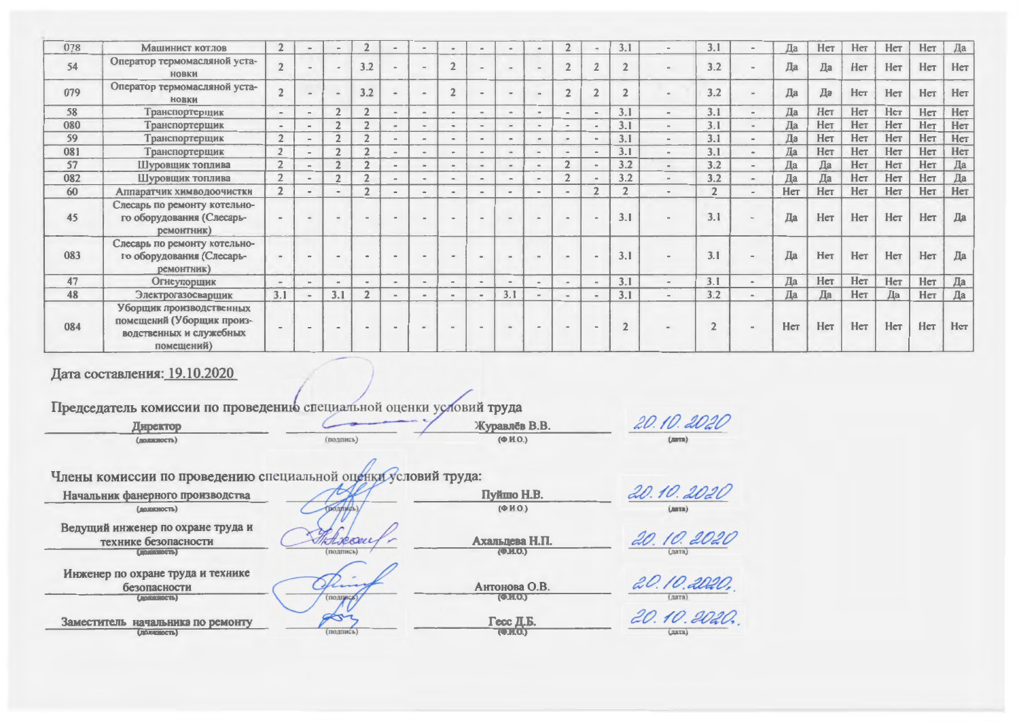| 078 | Машинист котлов                                                                                | $\overline{2}$      | $\sim$         |               | $\overline{2}$ | $\omega$       | $\blacksquare$               |        | $\sim$        | $\qquad \qquad \blacksquare$ |                          | $\overline{2}$               |                | 3.1        |                          | 3.1            |          | Да  | Her | Her | Нет | Her | Да  |
|-----|------------------------------------------------------------------------------------------------|---------------------|----------------|---------------|----------------|----------------|------------------------------|--------|---------------|------------------------------|--------------------------|------------------------------|----------------|------------|--------------------------|----------------|----------|-----|-----|-----|-----|-----|-----|
| 54  | Оператор термомасляной уста-<br><b>НОВКИ</b>                                                   | $\overline{2}$      |                |               | 3.2            |                | $\sim$                       |        | $\sim$        | $\sim$                       | $\sim$                   | $\mathcal{D}$                | $\overline{2}$ |            | $\sim$                   | 3.2            |          | Да  | Да  | Her | Нет | Her | Hет |
| 079 | Оператор термомасляной уста-<br><b>НОВКИ</b>                                                   | $\overline{2}$      |                |               | 3.2            |                | $\sim$                       |        | $\sim$        | $\sim$                       |                          | $\mathcal{P}$                | $\overline{2}$ |            | $\sim$                   | 3.2            |          | Да  | Да  | Her | Her | Her | Her |
| 58  | Транспортерщик                                                                                 | $\blacksquare$      | $\sim$         | $\sqrt{2}$    | $\mathcal{D}$  | $\sim$         | $\sim$                       |        | $\sim$        | $\rightarrow$                | <b>ALC</b>               | $\qquad \qquad \blacksquare$ | $\sim$         | 3.1        | $\sim$                   | 3.1            | $\sim$   | Да  | Her | Her | Нет | Her | Her |
| 080 | Транспортерщик                                                                                 | $\Delta \mathbf{m}$ | $\sim$         | $\mathcal{L}$ | $\mathcal{D}$  | $\sim$         | $\sim$                       | $\sim$ | $\rightarrow$ | ÷                            | $\omega_{\rm c}$         | $\sim$                       | $\sim$         | 3.1        | $\sim$                   | 3.1            |          | Да  | Нет | Her | Her | Her | Her |
| 59  | Транспортерщик                                                                                 | $\overline{2}$      | $\blacksquare$ |               | $\mathcal{P}$  | $\blacksquare$ | $\bullet$                    | $\sim$ | $\sim$        | $\blacksquare$               | $\overline{\phantom{a}}$ | $\sim$                       | $\bullet$      | 3.1        | $\sim$                   | 3.1            |          | Да  | Нет | Her | Нет | Her | Her |
| 081 | Транспортерщик                                                                                 | $\overline{2}$      | $\sim$         |               | $\mathcal{L}$  | $\rightarrow$  | $\bullet$                    |        | $\sim$        |                              |                          | $\qquad \qquad \blacksquare$ | $\sim$         | 3.1        | $\sim$                   | 3.1            |          | Да  | Her | Her | Нет | Her | Her |
| 57  | Шуровщик топлива                                                                               | $\overline{2}$      | $\sim$         |               | $\overline{2}$ | $\sim$         | $\blacksquare$               |        | $\,$          | $\blacksquare$               |                          | $\overline{2}$               | $\alpha$       | 3.2        | $\bullet$                | 3.2            |          | Да  | Да  | Her | Нет | Her | Да  |
| 082 | Шуровщик топлива                                                                               | $\overline{2}$      | $\blacksquare$ | $\mathcal{D}$ | $\mathcal{L}$  | $\alpha$       | $\sim$                       |        | $\,$          | $\overline{\phantom{a}}$     | $\rightarrow$            | $\overline{2}$               |                | 3.2        | $\,$ $\,$                | 3.2            |          | Да  | Да  | Her | Нет | Her | Да  |
| 60  | Аппаратчик химводоочистки                                                                      | $\overline{2}$      | $\sim$         |               | $\mathcal{L}$  | $\blacksquare$ | $\blacksquare$               |        | $\sim$        | $\bullet$                    | $\blacksquare$           | $\qquad \qquad =$            | $\overline{2}$ | $\sim$     | $\bullet$                | $\overline{2}$ |          | Her | Her | Her | Her | Her | Her |
| 45  | Слесарь по ремонту котельно-<br>го оборудования (Слесарь-<br>ремонтник)                        |                     |                |               |                | $\sim$         | $\bullet$                    |        | $\sim$        | $\sim$                       | <b>State</b>             | <b>State</b>                 | $\,$           | 3.1        | $\,$ $\,$                | 3.1            |          | Да  | Нет | Her | Her | Her | Да  |
| 083 | Слесарь по ремонту котельно-<br>го оборудования (Слесарь-<br>ремонтник)                        |                     |                |               |                |                | $\blacksquare$               |        | <b>AB</b>     | $\sim$                       | $\sim$                   |                              |                | 3.1        |                          | 3.1            |          | Да  | Нет | Her | Her | Her | Да  |
| 47  | Огнеупорщик                                                                                    | $\sim$              | $\sim$         |               | $\blacksquare$ | $\bullet$      | $\bullet$                    |        | $\alpha$      | $\blacksquare$               |                          | $\sim$                       | $\sim$         | 3.1        | $\sim$                   | 3.1            | $\alpha$ | Да  | Her | Her | Her | Her | Да  |
| 48  | Электрогазосварщик                                                                             | 3.1                 |                | 3.1           | $\overline{2}$ | $\alpha$       | $\qquad \qquad \blacksquare$ |        | $\,$          | 3.1                          |                          |                              |                | 3.1        | $\overline{\phantom{a}}$ | 3.2            |          | Да  | Да  | Her | Да  | Нет | Да  |
| 084 | Уборщик производственных<br>помещений (Уборщик произ-<br>водственных и служебных<br>помещений) |                     |                |               |                | $\sim$         | $\blacksquare$               |        | $\sim$        | in.                          | $\blacksquare$           |                              | $\,$           | $\sqrt{2}$ |                          |                |          | Her | Нет | Нет | Her | Her | Нет |

## Дата составления: 19.10.2020

| Дата составления: 19.10.2020                                                                                      |                    |                                     |                       |
|-------------------------------------------------------------------------------------------------------------------|--------------------|-------------------------------------|-----------------------|
| Председатель комиссии по проведению специальной оценки условий труда                                              |                    |                                     |                       |
| Директор                                                                                                          |                    | Журавлёв В.В.                       | 20.10.2020            |
| (должность)                                                                                                       | $(no$ $nme$ $)$    | $(\Phi.M.O.)$                       | (LMTB)                |
| Члены комиссии по проведению специальной оценки условий труда:<br>Начальник фанерного производства<br>(должность) | <b>ПОЛЛИСЬ</b>     | Пуйшо Н.В.<br>$(\Phi$ <i>H.O.</i> ) | 20.10.2020<br>(дата)  |
| Ведущий инженер по охране труда и<br>технике безопасности<br>$(5 - 12)$                                           | Hocan<br>(подпись) | Ахальцева Н.П.<br>(2.10)            | 20. 10. 2020<br>лата) |
| Инженер по охране труда и технике<br>безопасности<br>(Francisco et a)                                             | (подпись)          | Антонова О.В.<br>( 0.003)           | 20.10.2020,<br>(nara) |
| Заместитель начальника по ремонту<br>$(T0)$ $T00$                                                                 | (подпись)          | Гесс Д.Б.<br><b>(CERS)</b>          | 20.10.2020.<br>(gara) |